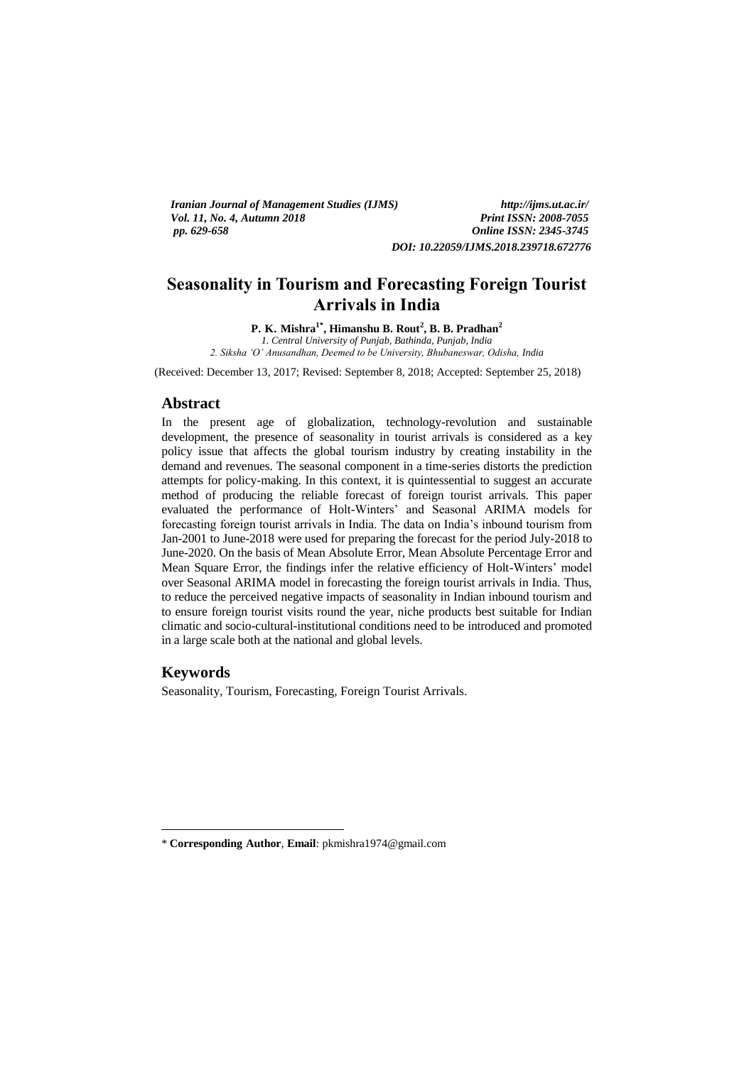*Iranian Journal of Management Studies (IJMS) http://ijms.ut.ac.ir/ Vol. 11, No. 4, Autumn 2018 pp. 629-658 Online ISSN: 2345-3745 DOI: 10.22059/IJMS.2018.239718.672776*

**Seasonality in Tourism and Forecasting Foreign Tourist Arrivals in India**

**P. K. Mishra1\* , Himanshu B. Rout<sup>2</sup> , B. B. Pradhan<sup>2</sup>**

*1. Central University of Punjab, Bathinda, Punjab, India 2. Siksha 'O' Anusandhan, Deemed to be University, Bhubaneswar, Odisha, India*

(Received: December 13, 2017; Revised: September 8, 2018; Accepted: September 25, 2018)

#### **Abstract**

In the present age of globalization, technology-revolution and sustainable development, the presence of seasonality in tourist arrivals is considered as a key policy issue that affects the global tourism industry by creating instability in the demand and revenues. The seasonal component in a time-series distorts the prediction attempts for policy-making. In this context, it is quintessential to suggest an accurate method of producing the reliable forecast of foreign tourist arrivals. This paper evaluated the performance of Holt-Winters' and Seasonal ARIMA models for forecasting foreign tourist arrivals in India. The data on India's inbound tourism from Jan-2001 to June-2018 were used for preparing the forecast for the period July-2018 to June-2020. On the basis of Mean Absolute Error, Mean Absolute Percentage Error and Mean Square Error, the findings infer the relative efficiency of Holt-Winters' model over Seasonal ARIMA model in forecasting the foreign tourist arrivals in India. Thus, to reduce the perceived negative impacts of seasonality in Indian inbound tourism and to ensure foreign tourist visits round the year, niche products best suitable for Indian climatic and socio-cultural-institutional conditions need to be introduced and promoted in a large scale both at the national and global levels.

# **Keywords**

**.** 

Seasonality, Tourism, Forecasting, Foreign Tourist Arrivals.

<sup>\*</sup> **Corresponding Author**, **Email**: pkmishra1974@gmail.com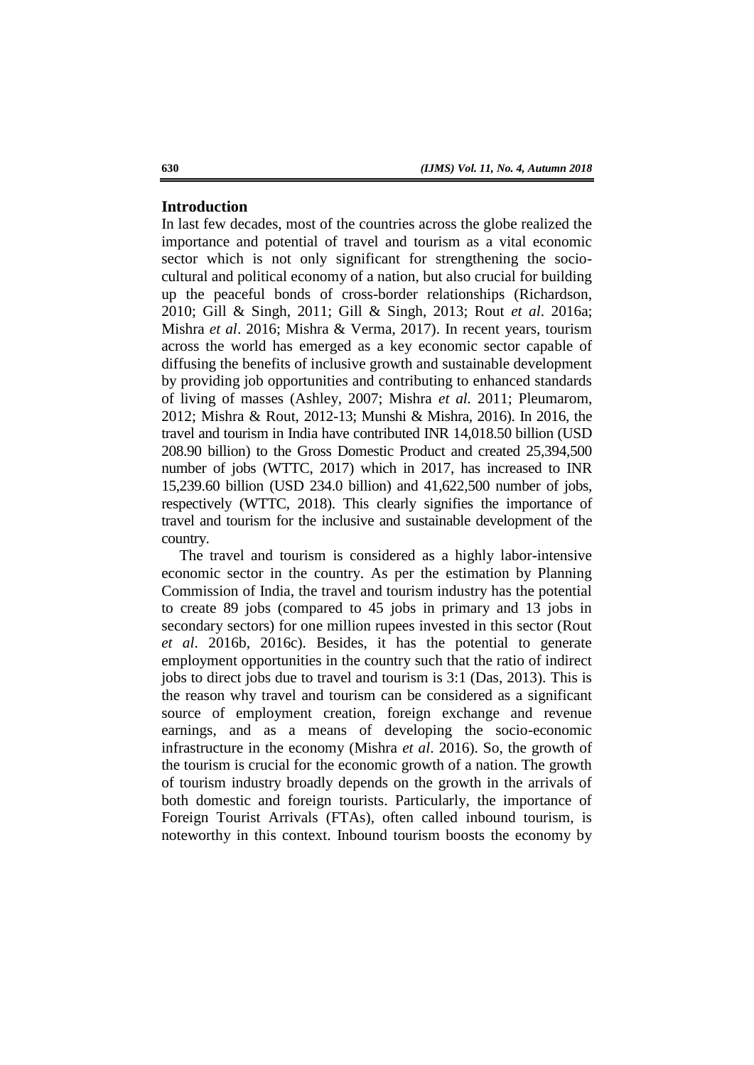## **Introduction**

In last few decades, most of the countries across the globe realized the importance and potential of travel and tourism as a vital economic sector which is not only significant for strengthening the sociocultural and political economy of a nation, but also crucial for building up the peaceful bonds of cross-border relationships (Richardson, 2010; Gill & Singh, 2011; Gill & Singh, 2013; Rout *et al*. 2016a; Mishra *et al*. 2016; Mishra & Verma, 2017). In recent years, tourism across the world has emerged as a key economic sector capable of diffusing the benefits of inclusive growth and sustainable development by providing job opportunities and contributing to enhanced standards of living of masses (Ashley, 2007; Mishra *et al.* 2011; Pleumarom, 2012; Mishra & Rout, 2012-13; Munshi & Mishra, 2016). In 2016, the travel and tourism in India have contributed INR 14,018.50 billion (USD 208.90 billion) to the Gross Domestic Product and created 25,394,500 number of jobs (WTTC, 2017) which in 2017, has increased to INR 15,239.60 billion (USD 234.0 billion) and 41,622,500 number of jobs, respectively (WTTC, 2018). This clearly signifies the importance of travel and tourism for the inclusive and sustainable development of the country.

The travel and tourism is considered as a highly labor-intensive economic sector in the country. As per the estimation by Planning Commission of India, the travel and tourism industry has the potential to create 89 jobs (compared to 45 jobs in primary and 13 jobs in secondary sectors) for one million rupees invested in this sector (Rout *et al*. 2016b, 2016c). Besides, it has the potential to generate employment opportunities in the country such that the ratio of indirect jobs to direct jobs due to travel and tourism is 3:1 (Das, 2013). This is the reason why travel and tourism can be considered as a significant source of employment creation, foreign exchange and revenue earnings, and as a means of developing the socio-economic infrastructure in the economy (Mishra *et al*. 2016). So, the growth of the tourism is crucial for the economic growth of a nation. The growth of tourism industry broadly depends on the growth in the arrivals of both domestic and foreign tourists. Particularly, the importance of Foreign Tourist Arrivals (FTAs), often called inbound tourism, is noteworthy in this context. Inbound tourism boosts the economy by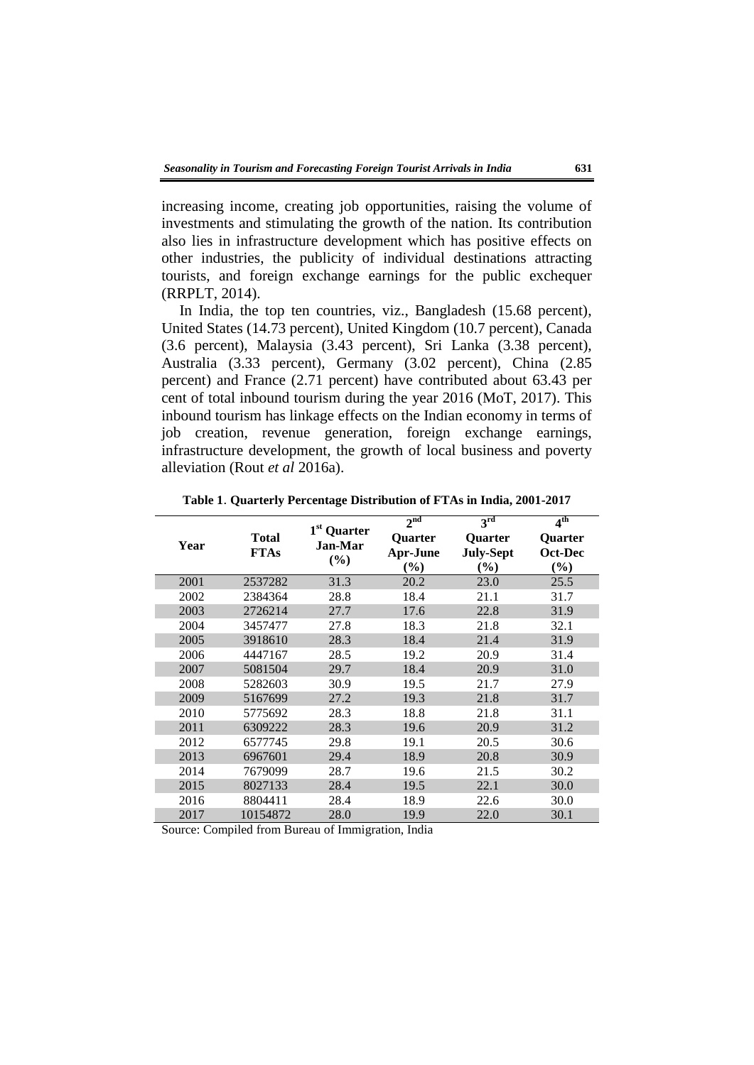increasing income, creating job opportunities, raising the volume of investments and stimulating the growth of the nation. Its contribution also lies in infrastructure development which has positive effects on other industries, the publicity of individual destinations attracting tourists, and foreign exchange earnings for the public exchequer (RRPLT, 2014).

In India, the top ten countries, viz., Bangladesh (15.68 percent), United States (14.73 percent), United Kingdom (10.7 percent), Canada (3.6 percent), Malaysia (3.43 percent), Sri Lanka (3.38 percent), Australia (3.33 percent), Germany (3.02 percent), China (2.85 percent) and France (2.71 percent) have contributed about 63.43 per cent of total inbound tourism during the year 2016 (MoT, 2017). This inbound tourism has linkage effects on the Indian economy in terms of job creation, revenue generation, foreign exchange earnings, infrastructure development, the growth of local business and poverty alleviation (Rout *et al* 2016a).

| Year | Total<br><b>FTAs</b> | 1 <sup>st</sup> Quarter<br>Jan-Mar<br>(%) | 2 <sup>nd</sup><br>Quarter<br><b>Apr-June</b><br>$(\%)$ | 3 <sup>rd</sup><br><b>Quarter</b><br><b>July-Sept</b><br>$(\%)$ | 4 <sup>th</sup><br><b>Quarter</b><br>Oct-Dec<br>$(\%)$ |
|------|----------------------|-------------------------------------------|---------------------------------------------------------|-----------------------------------------------------------------|--------------------------------------------------------|
| 2001 | 2537282              | 31.3                                      | 20.2                                                    | 23.0                                                            | 25.5                                                   |
| 2002 | 2384364              | 28.8                                      | 18.4                                                    | 21.1                                                            | 31.7                                                   |
| 2003 | 2726214              | 27.7                                      | 17.6                                                    | 22.8                                                            | 31.9                                                   |
| 2004 | 3457477              | 27.8                                      | 18.3                                                    | 21.8                                                            | 32.1                                                   |
| 2005 | 3918610              | 28.3                                      | 18.4                                                    | 21.4                                                            | 31.9                                                   |
| 2006 | 4447167              | 28.5                                      | 19.2                                                    | 20.9                                                            | 31.4                                                   |
| 2007 | 5081504              | 29.7                                      | 18.4                                                    | 20.9                                                            | 31.0                                                   |
| 2008 | 5282603              | 30.9                                      | 19.5                                                    | 21.7                                                            | 27.9                                                   |
| 2009 | 5167699              | 27.2                                      | 19.3                                                    | 21.8                                                            | 31.7                                                   |
| 2010 | 5775692              | 28.3                                      | 18.8                                                    | 21.8                                                            | 31.1                                                   |
| 2011 | 6309222              | 28.3                                      | 19.6                                                    | 20.9                                                            | 31.2                                                   |
| 2012 | 6577745              | 29.8                                      | 19.1                                                    | 20.5                                                            | 30.6                                                   |
| 2013 | 6967601              | 29.4                                      | 18.9                                                    | 20.8                                                            | 30.9                                                   |
| 2014 | 7679099              | 28.7                                      | 19.6                                                    | 21.5                                                            | 30.2                                                   |
| 2015 | 8027133              | 28.4                                      | 19.5                                                    | 22.1                                                            | 30.0                                                   |
| 2016 | 8804411              | 28.4                                      | 18.9                                                    | 22.6                                                            | 30.0                                                   |
| 2017 | 10154872             | 28.0                                      | 19.9                                                    | 22.0                                                            | 30.1                                                   |

**Table 1**. **Quarterly Percentage Distribution of FTAs in India, 2001-2017**

Source: Compiled from Bureau of Immigration, India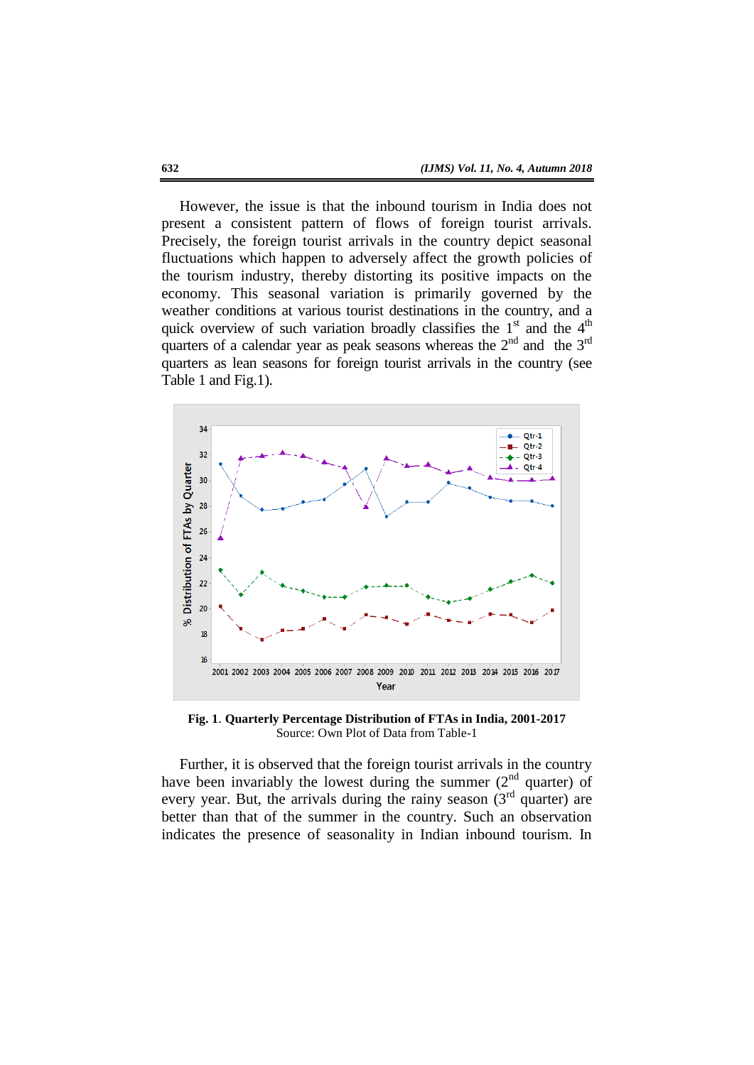However, the issue is that the inbound tourism in India does not present a consistent pattern of flows of foreign tourist arrivals. Precisely, the foreign tourist arrivals in the country depict seasonal fluctuations which happen to adversely affect the growth policies of the tourism industry, thereby distorting its positive impacts on the economy. This seasonal variation is primarily governed by the weather conditions at various tourist destinations in the country, and a quick overview of such variation broadly classifies the  $1<sup>st</sup>$  and the  $4<sup>th</sup>$ quarters of a calendar year as peak seasons whereas the  $2<sup>nd</sup>$  and the  $3<sup>rd</sup>$ quarters as lean seasons for foreign tourist arrivals in the country (see Table 1 and Fig.1).



**Fig. 1**. **Quarterly Percentage Distribution of FTAs in India, 2001-2017** Source: Own Plot of Data from Table-1

Further, it is observed that the foreign tourist arrivals in the country have been invariably the lowest during the summer  $(2<sup>nd</sup>$  quarter) of every year. But, the arrivals during the rainy season  $(3<sup>rd</sup>$  quarter) are better than that of the summer in the country. Such an observation indicates the presence of seasonality in Indian inbound tourism. In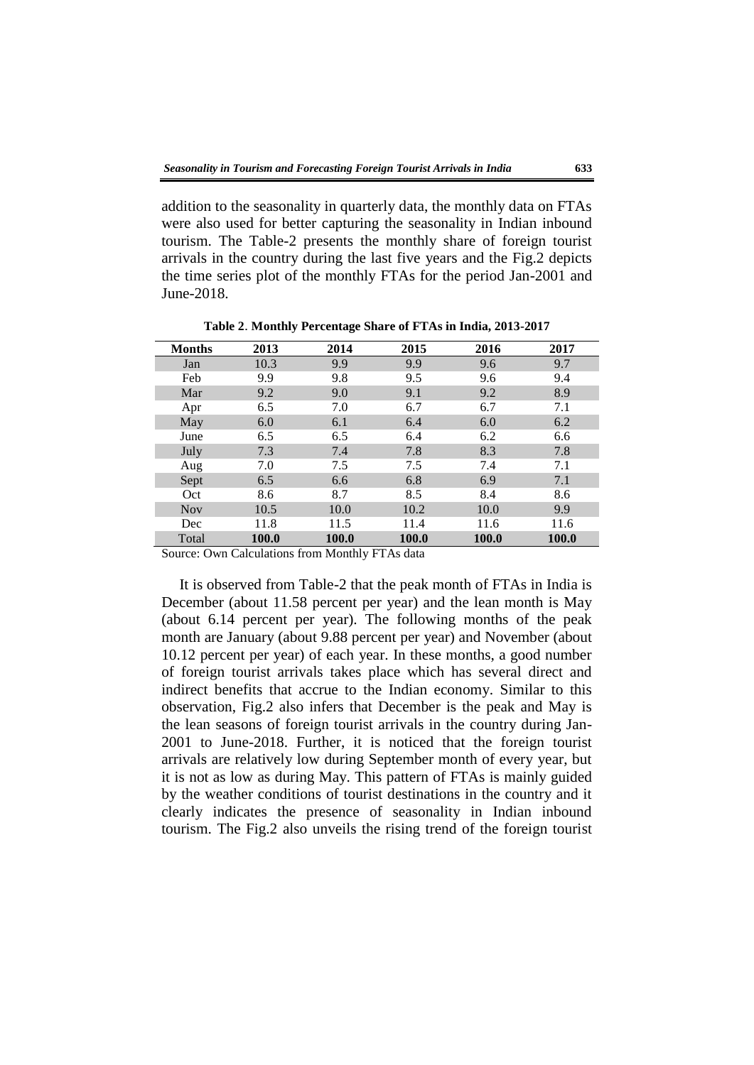addition to the seasonality in quarterly data, the monthly data on FTAs were also used for better capturing the seasonality in Indian inbound tourism. The Table-2 presents the monthly share of foreign tourist arrivals in the country during the last five years and the Fig.2 depicts the time series plot of the monthly FTAs for the period Jan-2001 and June-2018.

| <b>Months</b> | 2013  | 2014  | 2015  | 2016  | 2017  |
|---------------|-------|-------|-------|-------|-------|
| Jan           | 10.3  | 9.9   | 9.9   | 9.6   | 9.7   |
| Feb           | 9.9   | 9.8   | 9.5   | 9.6   | 9.4   |
| Mar           | 9.2   | 9.0   | 9.1   | 9.2   | 8.9   |
| Apr           | 6.5   | 7.0   | 6.7   | 6.7   | 7.1   |
| May           | 6.0   | 6.1   | 6.4   | 6.0   | 6.2   |
| June          | 6.5   | 6.5   | 6.4   | 6.2   | 6.6   |
| July          | 7.3   | 7.4   | 7.8   | 8.3   | 7.8   |
| Aug           | 7.0   | 7.5   | 7.5   | 7.4   | 7.1   |
| Sept          | 6.5   | 6.6   | 6.8   | 6.9   | 7.1   |
| Oct           | 8.6   | 8.7   | 8.5   | 8.4   | 8.6   |
| <b>Nov</b>    | 10.5  | 10.0  | 10.2  | 10.0  | 9.9   |
| Dec           | 11.8  | 11.5  | 11.4  | 11.6  | 11.6  |
| Total         | 100.0 | 100.0 | 100.0 | 100.0 | 100.0 |

**Table 2**. **Monthly Percentage Share of FTAs in India, 2013-2017**

Source: Own Calculations from Monthly FTAs data

It is observed from Table-2 that the peak month of FTAs in India is December (about 11.58 percent per year) and the lean month is May (about 6.14 percent per year). The following months of the peak month are January (about 9.88 percent per year) and November (about 10.12 percent per year) of each year. In these months, a good number of foreign tourist arrivals takes place which has several direct and indirect benefits that accrue to the Indian economy. Similar to this observation, Fig.2 also infers that December is the peak and May is the lean seasons of foreign tourist arrivals in the country during Jan-2001 to June-2018. Further, it is noticed that the foreign tourist arrivals are relatively low during September month of every year, but it is not as low as during May. This pattern of FTAs is mainly guided by the weather conditions of tourist destinations in the country and it clearly indicates the presence of seasonality in Indian inbound tourism. The Fig.2 also unveils the rising trend of the foreign tourist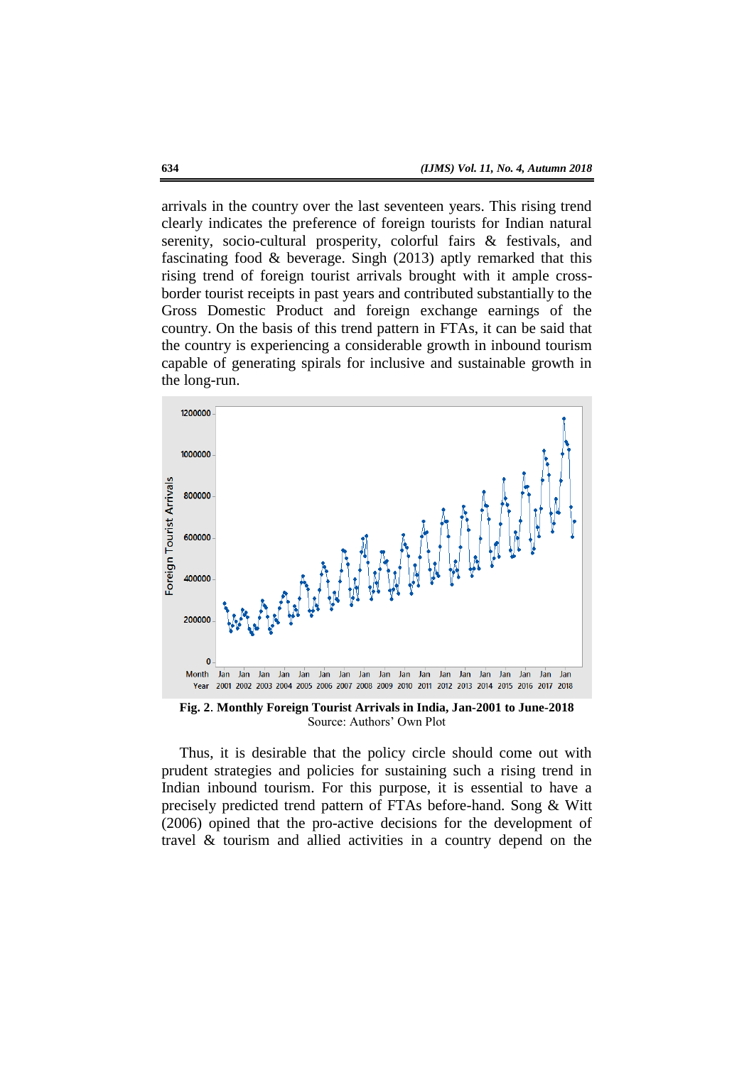arrivals in the country over the last seventeen years. This rising trend clearly indicates the preference of foreign tourists for Indian natural serenity, socio-cultural prosperity, colorful fairs & festivals, and fascinating food & beverage. Singh (2013) aptly remarked that this rising trend of foreign tourist arrivals brought with it ample crossborder tourist receipts in past years and contributed substantially to the Gross Domestic Product and foreign exchange earnings of the country. On the basis of this trend pattern in FTAs, it can be said that the country is experiencing a considerable growth in inbound tourism capable of generating spirals for inclusive and sustainable growth in the long-run.



**Fig. 2**. **Monthly Foreign Tourist Arrivals in India, Jan-2001 to June-2018** Source: Authors' Own Plot

Thus, it is desirable that the policy circle should come out with prudent strategies and policies for sustaining such a rising trend in Indian inbound tourism. For this purpose, it is essential to have a precisely predicted trend pattern of FTAs before-hand. Song & Witt (2006) opined that the pro-active decisions for the development of travel & tourism and allied activities in a country depend on the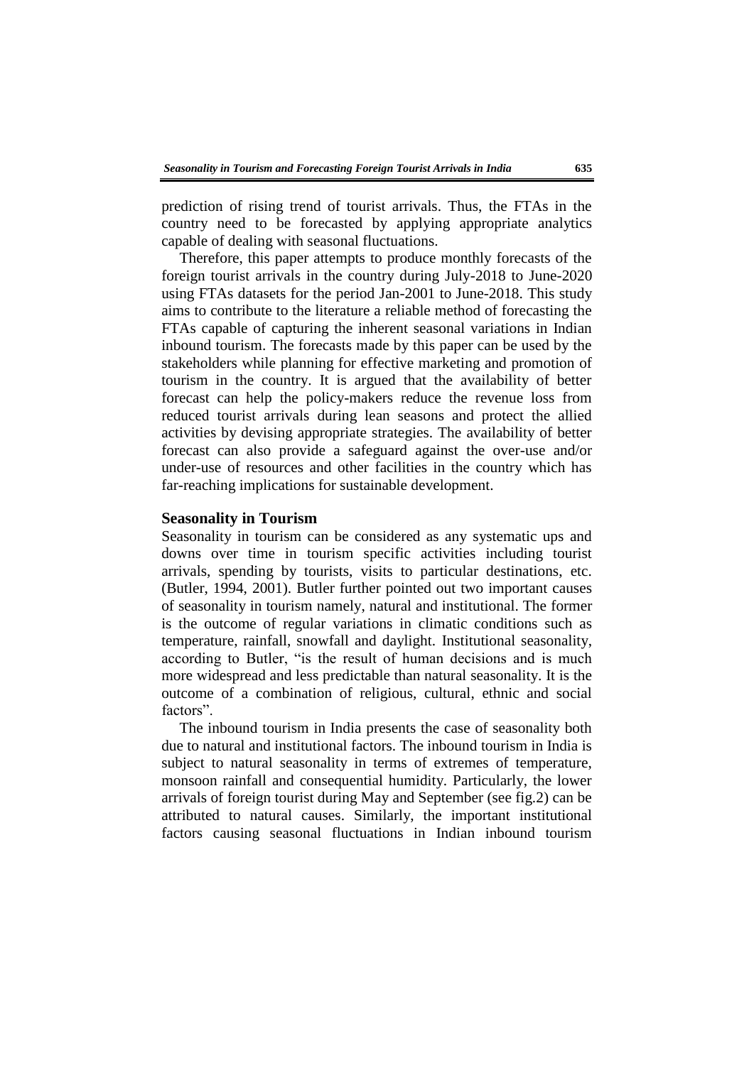prediction of rising trend of tourist arrivals. Thus, the FTAs in the country need to be forecasted by applying appropriate analytics capable of dealing with seasonal fluctuations.

Therefore, this paper attempts to produce monthly forecasts of the foreign tourist arrivals in the country during July-2018 to June-2020 using FTAs datasets for the period Jan-2001 to June-2018. This study aims to contribute to the literature a reliable method of forecasting the FTAs capable of capturing the inherent seasonal variations in Indian inbound tourism. The forecasts made by this paper can be used by the stakeholders while planning for effective marketing and promotion of tourism in the country. It is argued that the availability of better forecast can help the policy-makers reduce the revenue loss from reduced tourist arrivals during lean seasons and protect the allied activities by devising appropriate strategies. The availability of better forecast can also provide a safeguard against the over-use and/or under-use of resources and other facilities in the country which has far-reaching implications for sustainable development.

## **Seasonality in Tourism**

Seasonality in tourism can be considered as any systematic ups and downs over time in tourism specific activities including tourist arrivals, spending by tourists, visits to particular destinations, etc. (Butler, 1994, 2001). Butler further pointed out two important causes of seasonality in tourism namely, natural and institutional. The former is the outcome of regular variations in climatic conditions such as temperature, rainfall, snowfall and daylight. Institutional seasonality, according to Butler, "is the result of human decisions and is much more widespread and less predictable than natural seasonality. It is the outcome of a combination of religious, cultural, ethnic and social factors".

The inbound tourism in India presents the case of seasonality both due to natural and institutional factors. The inbound tourism in India is subject to natural seasonality in terms of extremes of temperature, monsoon rainfall and consequential humidity. Particularly, the lower arrivals of foreign tourist during May and September (see fig.2) can be attributed to natural causes. Similarly, the important institutional factors causing seasonal fluctuations in Indian inbound tourism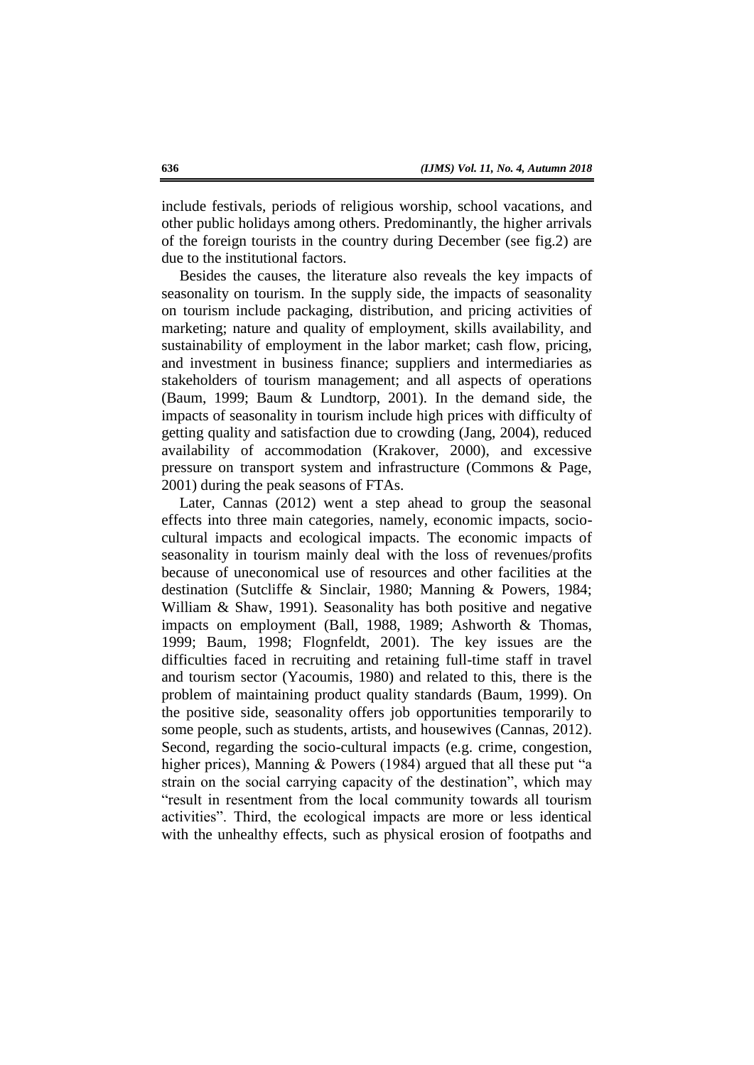include festivals, periods of religious worship, school vacations, and other public holidays among others. Predominantly, the higher arrivals of the foreign tourists in the country during December (see fig.2) are due to the institutional factors.

Besides the causes, the literature also reveals the key impacts of seasonality on tourism. In the supply side, the impacts of seasonality on tourism include packaging, distribution, and pricing activities of marketing; nature and quality of employment, skills availability, and sustainability of employment in the labor market; cash flow, pricing, and investment in business finance; suppliers and intermediaries as stakeholders of tourism management; and all aspects of operations (Baum, 1999; Baum & Lundtorp, 2001). In the demand side, the impacts of seasonality in tourism include high prices with difficulty of getting quality and satisfaction due to crowding (Jang, 2004), reduced availability of accommodation (Krakover, 2000), and excessive pressure on transport system and infrastructure (Commons & Page, 2001) during the peak seasons of FTAs.

Later, Cannas (2012) went a step ahead to group the seasonal effects into three main categories, namely, economic impacts, sociocultural impacts and ecological impacts. The economic impacts of seasonality in tourism mainly deal with the loss of revenues/profits because of uneconomical use of resources and other facilities at the destination (Sutcliffe & Sinclair, 1980; Manning & Powers, 1984; William & Shaw, 1991). Seasonality has both positive and negative impacts on employment (Ball, 1988, 1989; Ashworth & Thomas, 1999; Baum, 1998; Flognfeldt, 2001). The key issues are the difficulties faced in recruiting and retaining full-time staff in travel and tourism sector (Yacoumis, 1980) and related to this, there is the problem of maintaining product quality standards (Baum, 1999). On the positive side, seasonality offers job opportunities temporarily to some people, such as students, artists, and housewives (Cannas, 2012). Second, regarding the socio-cultural impacts (e.g. crime, congestion, higher prices), Manning  $&$  Powers (1984) argued that all these put "a strain on the social carrying capacity of the destination", which may "result in resentment from the local community towards all tourism activities". Third, the ecological impacts are more or less identical with the unhealthy effects, such as physical erosion of footpaths and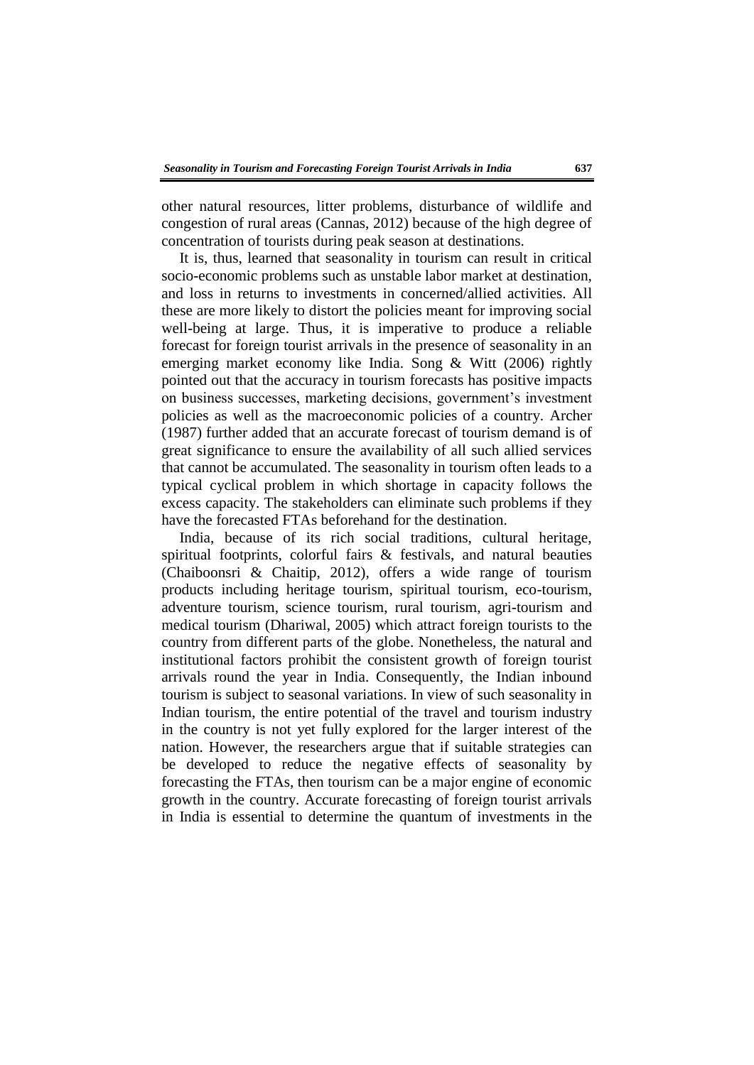other natural resources, litter problems, disturbance of wildlife and congestion of rural areas (Cannas, 2012) because of the high degree of concentration of tourists during peak season at destinations.

It is, thus, learned that seasonality in tourism can result in critical socio-economic problems such as unstable labor market at destination, and loss in returns to investments in concerned/allied activities. All these are more likely to distort the policies meant for improving social well-being at large. Thus, it is imperative to produce a reliable forecast for foreign tourist arrivals in the presence of seasonality in an emerging market economy like India. Song & Witt (2006) rightly pointed out that the accuracy in tourism forecasts has positive impacts on business successes, marketing decisions, government's investment policies as well as the macroeconomic policies of a country. Archer (1987) further added that an accurate forecast of tourism demand is of great significance to ensure the availability of all such allied services that cannot be accumulated. The seasonality in tourism often leads to a typical cyclical problem in which shortage in capacity follows the excess capacity. The stakeholders can eliminate such problems if they have the forecasted FTAs beforehand for the destination.

India, because of its rich social traditions, cultural heritage, spiritual footprints, colorful fairs & festivals, and natural beauties (Chaiboonsri & Chaitip, 2012), offers a wide range of tourism products including heritage tourism, spiritual tourism, eco-tourism, adventure tourism, science tourism, rural tourism, agri-tourism and medical tourism (Dhariwal, 2005) which attract foreign tourists to the country from different parts of the globe. Nonetheless, the natural and institutional factors prohibit the consistent growth of foreign tourist arrivals round the year in India. Consequently, the Indian inbound tourism is subject to seasonal variations. In view of such seasonality in Indian tourism, the entire potential of the travel and tourism industry in the country is not yet fully explored for the larger interest of the nation. However, the researchers argue that if suitable strategies can be developed to reduce the negative effects of seasonality by forecasting the FTAs, then tourism can be a major engine of economic growth in the country. Accurate forecasting of foreign tourist arrivals in India is essential to determine the quantum of investments in the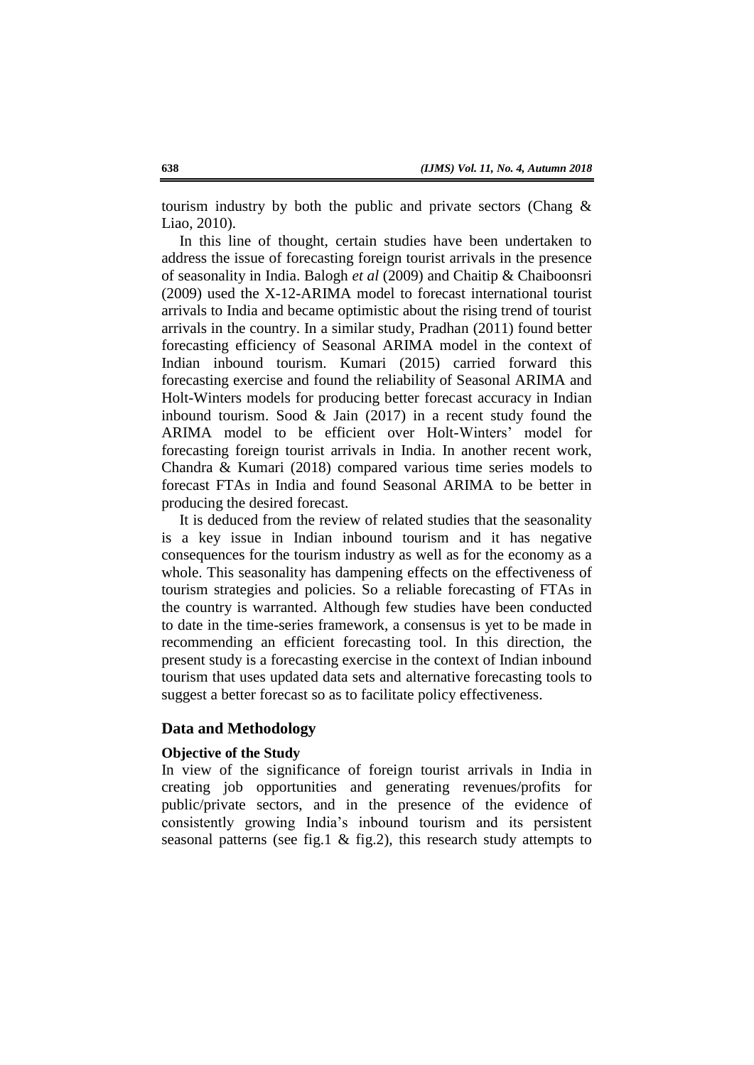tourism industry by both the public and private sectors (Chang & Liao, 2010).

In this line of thought, certain studies have been undertaken to address the issue of forecasting foreign tourist arrivals in the presence of seasonality in India. Balogh *et al* (2009) and Chaitip & Chaiboonsri (2009) used the X-12-ARIMA model to forecast international tourist arrivals to India and became optimistic about the rising trend of tourist arrivals in the country. In a similar study, Pradhan (2011) found better forecasting efficiency of Seasonal ARIMA model in the context of Indian inbound tourism. Kumari (2015) carried forward this forecasting exercise and found the reliability of Seasonal ARIMA and Holt-Winters models for producing better forecast accuracy in Indian inbound tourism. Sood & Jain (2017) in a recent study found the ARIMA model to be efficient over Holt-Winters' model for forecasting foreign tourist arrivals in India. In another recent work, Chandra & Kumari (2018) compared various time series models to forecast FTAs in India and found Seasonal ARIMA to be better in producing the desired forecast.

It is deduced from the review of related studies that the seasonality is a key issue in Indian inbound tourism and it has negative consequences for the tourism industry as well as for the economy as a whole. This seasonality has dampening effects on the effectiveness of tourism strategies and policies. So a reliable forecasting of FTAs in the country is warranted. Although few studies have been conducted to date in the time-series framework, a consensus is yet to be made in recommending an efficient forecasting tool. In this direction, the present study is a forecasting exercise in the context of Indian inbound tourism that uses updated data sets and alternative forecasting tools to suggest a better forecast so as to facilitate policy effectiveness.

# **Data and Methodology**

## **Objective of the Study**

In view of the significance of foreign tourist arrivals in India in creating job opportunities and generating revenues/profits for public/private sectors, and in the presence of the evidence of consistently growing India's inbound tourism and its persistent seasonal patterns (see fig.1 & fig.2), this research study attempts to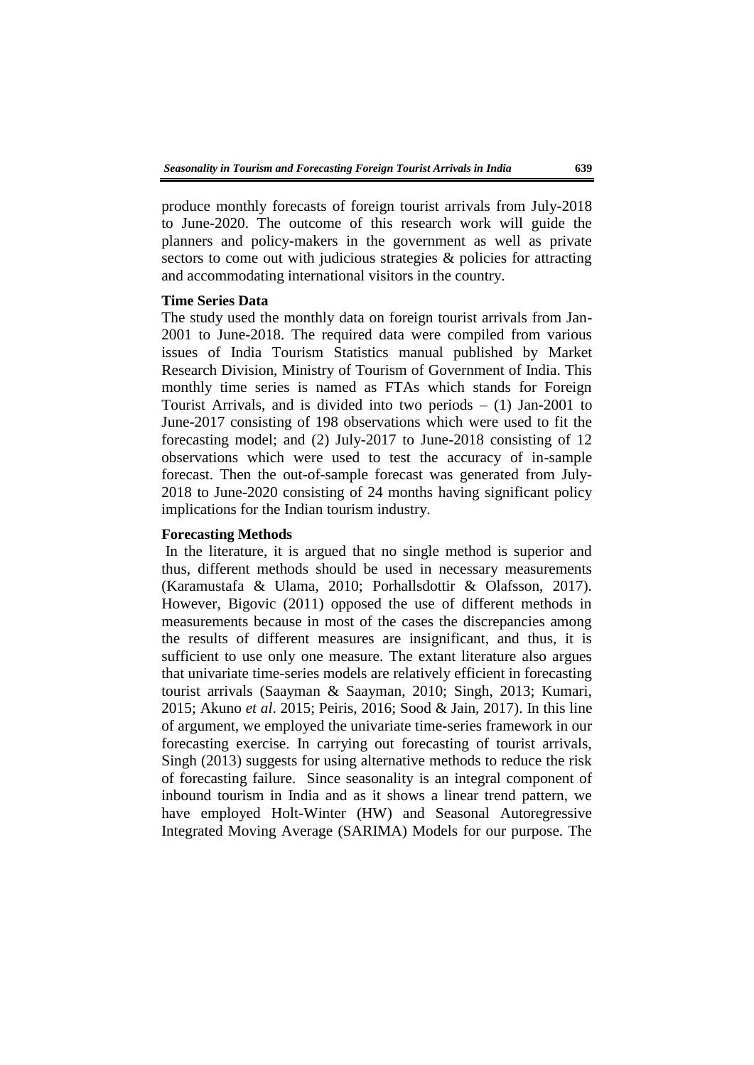produce monthly forecasts of foreign tourist arrivals from July-2018 to June-2020. The outcome of this research work will guide the planners and policy-makers in the government as well as private sectors to come out with judicious strategies & policies for attracting and accommodating international visitors in the country.

# **Time Series Data**

The study used the monthly data on foreign tourist arrivals from Jan-2001 to June-2018. The required data were compiled from various issues of India Tourism Statistics manual published by Market Research Division, Ministry of Tourism of Government of India. This monthly time series is named as FTAs which stands for Foreign Tourist Arrivals, and is divided into two periods  $- (1)$  Jan-2001 to June-2017 consisting of 198 observations which were used to fit the forecasting model; and (2) July-2017 to June-2018 consisting of 12 observations which were used to test the accuracy of in-sample forecast. Then the out-of-sample forecast was generated from July-2018 to June-2020 consisting of 24 months having significant policy implications for the Indian tourism industry.

#### **Forecasting Methods**

In the literature, it is argued that no single method is superior and thus, different methods should be used in necessary measurements (Karamustafa & Ulama, 2010; Porhallsdottir & Olafsson, 2017). However, Bigovic (2011) opposed the use of different methods in measurements because in most of the cases the discrepancies among the results of different measures are insignificant, and thus, it is sufficient to use only one measure. The extant literature also argues that univariate time-series models are relatively efficient in forecasting tourist arrivals (Saayman & Saayman, 2010; Singh, 2013; Kumari, 2015; Akuno *et al*. 2015; Peiris, 2016; Sood & Jain, 2017). In this line of argument, we employed the univariate time-series framework in our forecasting exercise. In carrying out forecasting of tourist arrivals, Singh (2013) suggests for using alternative methods to reduce the risk of forecasting failure. Since seasonality is an integral component of inbound tourism in India and as it shows a linear trend pattern, we have employed Holt-Winter (HW) and Seasonal Autoregressive Integrated Moving Average (SARIMA) Models for our purpose. The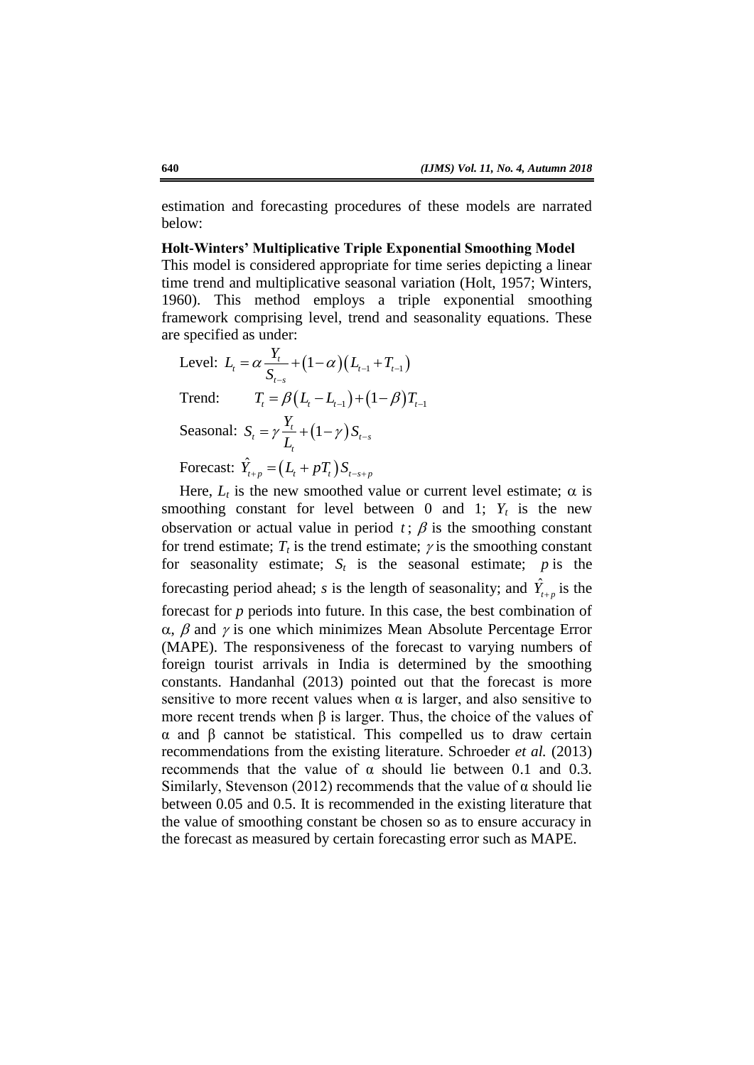estimation and forecasting procedures of these models are narrated below:

**Holt-Winters' Multiplicative Triple Exponential Smoothing Model**

This model is considered appropriate for time series depicting a linear time trend and multiplicative seasonal variation (Holt, 1957; Winters, 1960). This method employs a triple exponential smoothing framework comprising level, trend and seasonality equations. These are specified as under:

Level: 
$$
L_t = \alpha \frac{Y_t}{S_{t-s}} + (1-\alpha)(L_{t-1} + T_{t-1})
$$
  
\nTrend:  $T_t = \beta(L_t - L_{t-1}) + (1-\beta)T_{t-1}$   
\nSeasonal:  $S_t = \gamma \frac{Y_t}{L_t} + (1-\gamma)S_{t-s}$   
\nForecast:  $\hat{Y}_{t+p} = (L_t + pT_t)S_{t-s+p}$ 

Here,  $L_t$  is the new smoothed value or current level estimate;  $\alpha$  is smoothing constant for level between 0 and 1;  $Y_t$  is the new observation or actual value in period  $t$ ;  $\beta$  is the smoothing constant for trend estimate;  $T_t$  is the trend estimate;  $\gamma$  is the smoothing constant for seasonality estimate;  $S_t$  is the seasonal estimate;  $p$  is the forecasting period ahead; *s* is the length of seasonality; and  $\hat{Y}_{t+p}$  is the forecast for *p* periods into future. In this case, the best combination of  $\alpha$ ,  $\beta$  and  $\gamma$  is one which minimizes Mean Absolute Percentage Error (MAPE). The responsiveness of the forecast to varying numbers of foreign tourist arrivals in India is determined by the smoothing constants. Handanhal (2013) pointed out that the forecast is more sensitive to more recent values when  $\alpha$  is larger, and also sensitive to more recent trends when  $\beta$  is larger. Thus, the choice of the values of α and β cannot be statistical. This compelled us to draw certain recommendations from the existing literature. Schroeder *et al.* (2013) recommends that the value of  $\alpha$  should lie between 0.1 and 0.3. Similarly, Stevenson (2012) recommends that the value of  $\alpha$  should lie between 0.05 and 0.5. It is recommended in the existing literature that the value of smoothing constant be chosen so as to ensure accuracy in the forecast as measured by certain forecasting error such as MAPE.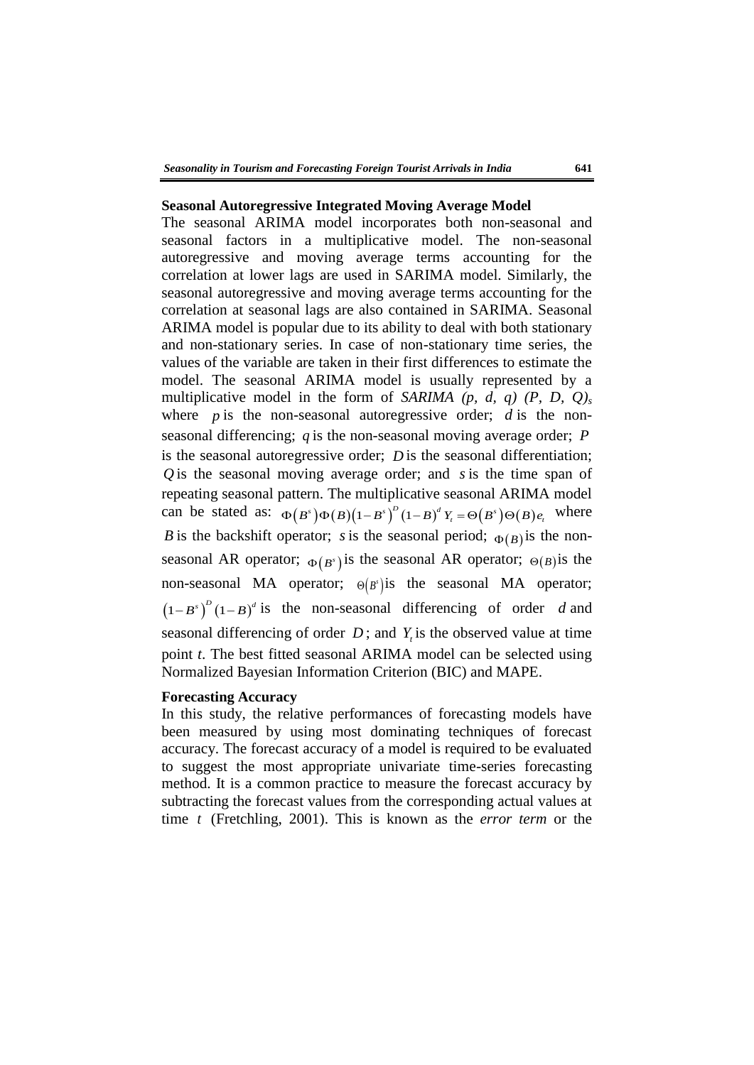#### **Seasonal Autoregressive Integrated Moving Average Model**

The seasonal ARIMA model incorporates both non-seasonal and seasonal factors in a multiplicative model. The non-seasonal autoregressive and moving average terms accounting for the correlation at lower lags are used in SARIMA model. Similarly, the seasonal autoregressive and moving average terms accounting for the correlation at seasonal lags are also contained in SARIMA. Seasonal ARIMA model is popular due to its ability to deal with both stationary and non-stationary series. In case of non-stationary time series, the values of the variable are taken in their first differences to estimate the model. The seasonal ARIMA model is usually represented by a multiplicative model in the form of *SARIMA (p, d, q) (P, D, Q)<sup>s</sup>* where  $p$  is the non-seasonal autoregressive order;  $d$  is the nonseasonal differencing;  $q$  is the non-seasonal moving average order;  $P$ is the seasonal autoregressive order;  $D$  is the seasonal differentiation;  $Q$  is the seasonal moving average order; and  $s$  is the time span of repeating seasonal pattern. The multiplicative seasonal ARIMA model repeating seasonal pattern. The multiplicative seasonal ARIMA model<br>can be stated as:  $\Phi(B^s)\Phi(B)(1-B^s)^D(1-B)^dY_t = \Theta(B^s)\Theta(B)e_t$ , where B is the backshift operator; s is the seasonal period;  $\Phi(B)$  is the nonseasonal AR operator;  $\Phi(B^s)$  is the seasonal AR operator;  $\Theta(B)$  is the non-seasonal MA operator;  $\Theta(B^s)$  is the seasonal MA operator;  $(1 - B^s)^D (1 - B)^d$  is the non-seasonal differencing of order d and seasonal differencing of order  $D$ ; and  $Y<sub>t</sub>$  is the observed value at time point *t*. The best fitted seasonal ARIMA model can be selected using Normalized Bayesian Information Criterion (BIC) and MAPE.

### **Forecasting Accuracy**

In this study, the relative performances of forecasting models have been measured by using most dominating techniques of forecast accuracy. The forecast accuracy of a model is required to be evaluated to suggest the most appropriate univariate time-series forecasting method. It is a common practice to measure the forecast accuracy by subtracting the forecast values from the corresponding actual values at time *t* (Fretchling, 2001). This is known as the *error term* or the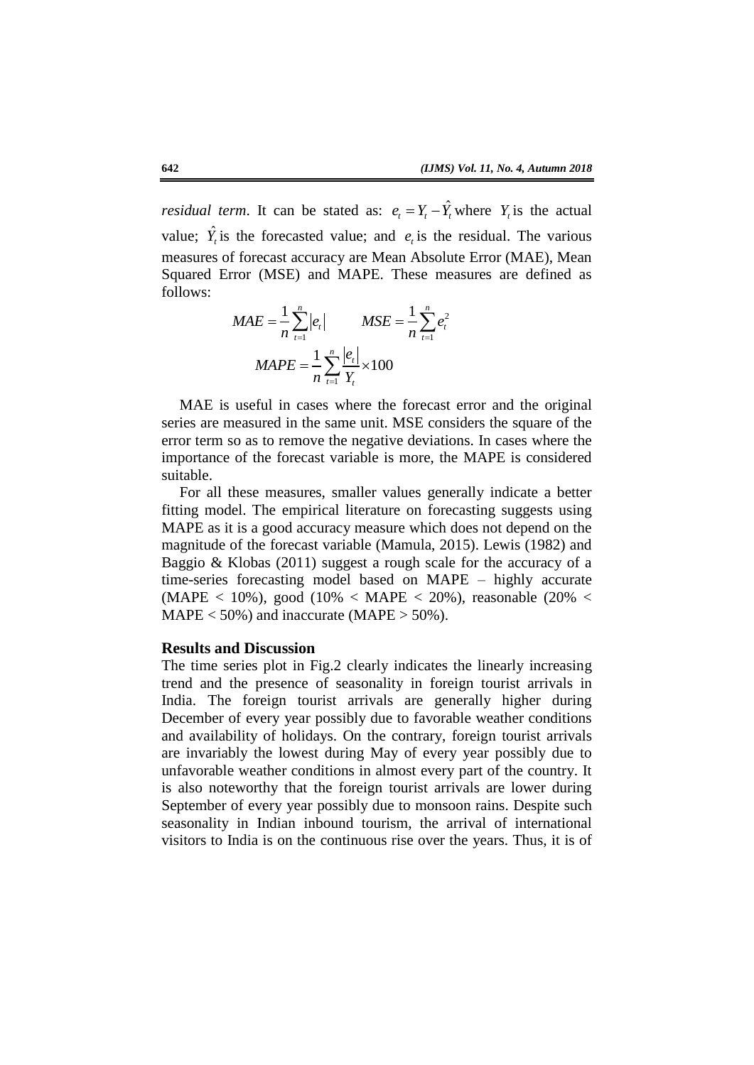*residual term.* It can be stated as:  $e_t = Y_t - \hat{Y}_t$  where  $Y_t$  is the actual value;  $\hat{Y}_t$  is the forecasted value; and  $e_t$  is the residual. The various measures of forecast accuracy are Mean Absolute Error (MAE), Mean Squared Error (MSE) and MAPE. These measures are defined as follows:

$$
MAE = \frac{1}{n} \sum_{t=1}^{n} |e_t| \qquad MSE = \frac{1}{n} \sum_{t=1}^{n} e_t^2
$$

$$
MAPE = \frac{1}{n} \sum_{t=1}^{n} \frac{|e_t|}{Y_t} \times 100
$$

MAE is useful in cases where the forecast error and the original series are measured in the same unit. MSE considers the square of the error term so as to remove the negative deviations. In cases where the importance of the forecast variable is more, the MAPE is considered suitable.

For all these measures, smaller values generally indicate a better fitting model. The empirical literature on forecasting suggests using MAPE as it is a good accuracy measure which does not depend on the magnitude of the forecast variable (Mamula, 2015). Lewis (1982) and Baggio & Klobas (2011) suggest a rough scale for the accuracy of a time-series forecasting model based on MAPE – highly accurate (MAPE < 10%), good (10% < MAPE < 20%), reasonable (20% <  $MAPE < 50\%$ ) and inaccurate (MAPE  $> 50\%$ ).

## **Results and Discussion**

The time series plot in Fig.2 clearly indicates the linearly increasing trend and the presence of seasonality in foreign tourist arrivals in India. The foreign tourist arrivals are generally higher during December of every year possibly due to favorable weather conditions and availability of holidays. On the contrary, foreign tourist arrivals are invariably the lowest during May of every year possibly due to unfavorable weather conditions in almost every part of the country. It is also noteworthy that the foreign tourist arrivals are lower during September of every year possibly due to monsoon rains. Despite such seasonality in Indian inbound tourism, the arrival of international visitors to India is on the continuous rise over the years. Thus, it is of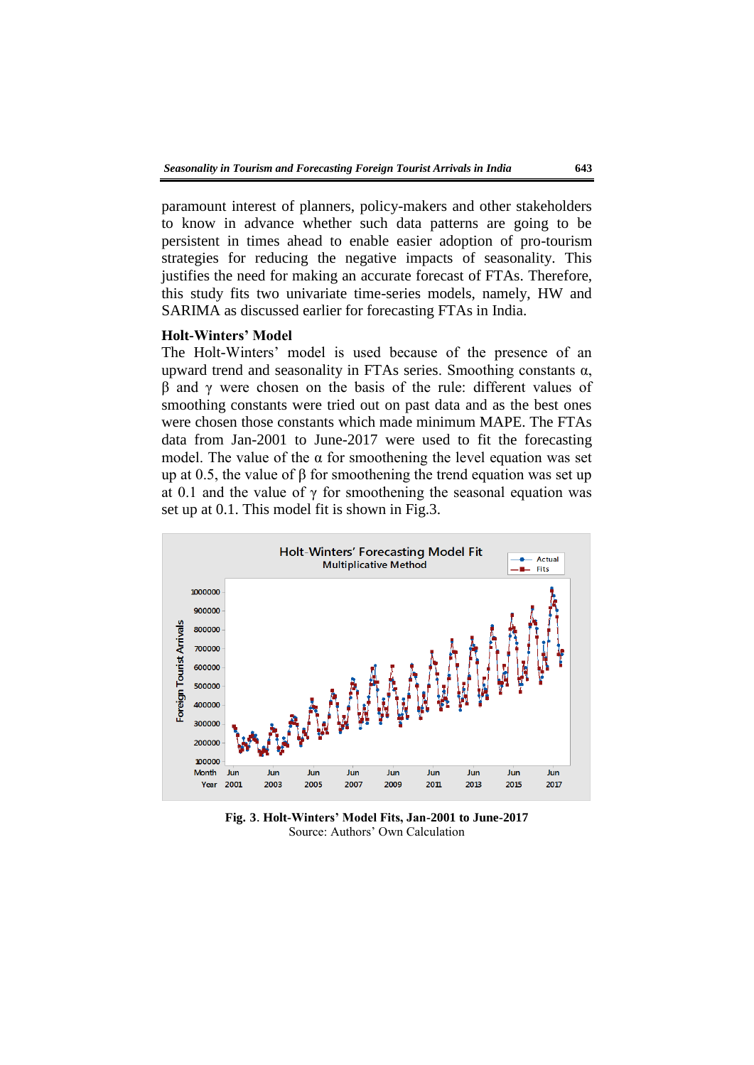paramount interest of planners, policy-makers and other stakeholders to know in advance whether such data patterns are going to be persistent in times ahead to enable easier adoption of pro-tourism strategies for reducing the negative impacts of seasonality. This justifies the need for making an accurate forecast of FTAs. Therefore, this study fits two univariate time-series models, namely, HW and SARIMA as discussed earlier for forecasting FTAs in India.

## **Holt-Winters' Model**

The Holt-Winters' model is used because of the presence of an upward trend and seasonality in FTAs series. Smoothing constants  $\alpha$ , β and γ were chosen on the basis of the rule: different values of smoothing constants were tried out on past data and as the best ones were chosen those constants which made minimum MAPE. The FTAs data from Jan-2001 to June-2017 were used to fit the forecasting model. The value of the  $\alpha$  for smoothening the level equation was set up at 0.5, the value of  $\beta$  for smoothening the trend equation was set up at 0.1 and the value of  $\gamma$  for smoothening the seasonal equation was set up at 0.1. This model fit is shown in Fig.3.



**Fig. 3**. **Holt-Winters' Model Fits, Jan-2001 to June-2017** Source: Authors' Own Calculation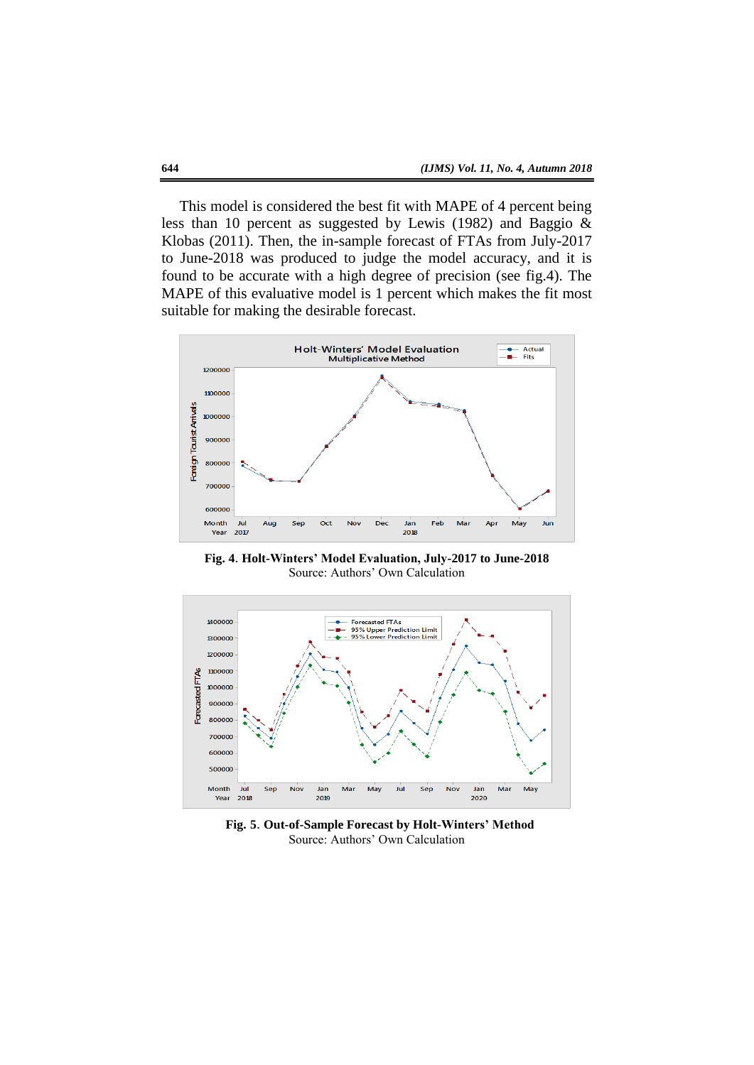This model is considered the best fit with MAPE of 4 percent being less than 10 percent as suggested by Lewis (1982) and Baggio & Klobas (2011). Then, the in-sample forecast of FTAs from July-2017 to June-2018 was produced to judge the model accuracy, and it is found to be accurate with a high degree of precision (see fig.4). The MAPE of this evaluative model is 1 percent which makes the fit most suitable for making the desirable forecast.



**Fig. 4**. **Holt-Winters' Model Evaluation, July-2017 to June-2018** Source: Authors' Own Calculation



 **Fig. 5**. **Out-of-Sample Forecast by Holt-Winters' Method** Source: Authors' Own Calculation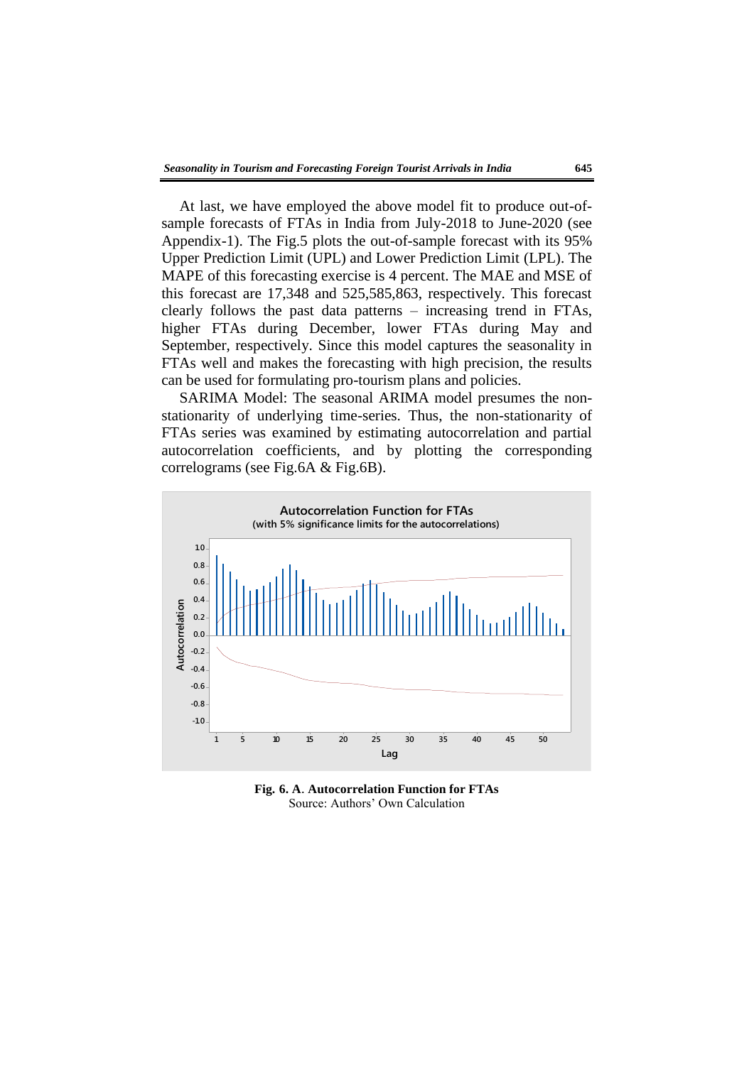At last, we have employed the above model fit to produce out-ofsample forecasts of FTAs in India from July-2018 to June-2020 (see Appendix-1). The Fig.5 plots the out-of-sample forecast with its 95% Upper Prediction Limit (UPL) and Lower Prediction Limit (LPL). The MAPE of this forecasting exercise is 4 percent. The MAE and MSE of this forecast are 17,348 and 525,585,863, respectively. This forecast clearly follows the past data patterns – increasing trend in FTAs, higher FTAs during December, lower FTAs during May and September, respectively. Since this model captures the seasonality in FTAs well and makes the forecasting with high precision, the results can be used for formulating pro-tourism plans and policies.

SARIMA Model: The seasonal ARIMA model presumes the nonstationarity of underlying time-series. Thus, the non-stationarity of FTAs series was examined by estimating autocorrelation and partial autocorrelation coefficients, and by plotting the corresponding correlograms (see Fig.6A & Fig.6B).



**Fig. 6. A**. **Autocorrelation Function for FTAs** Source: Authors' Own Calculation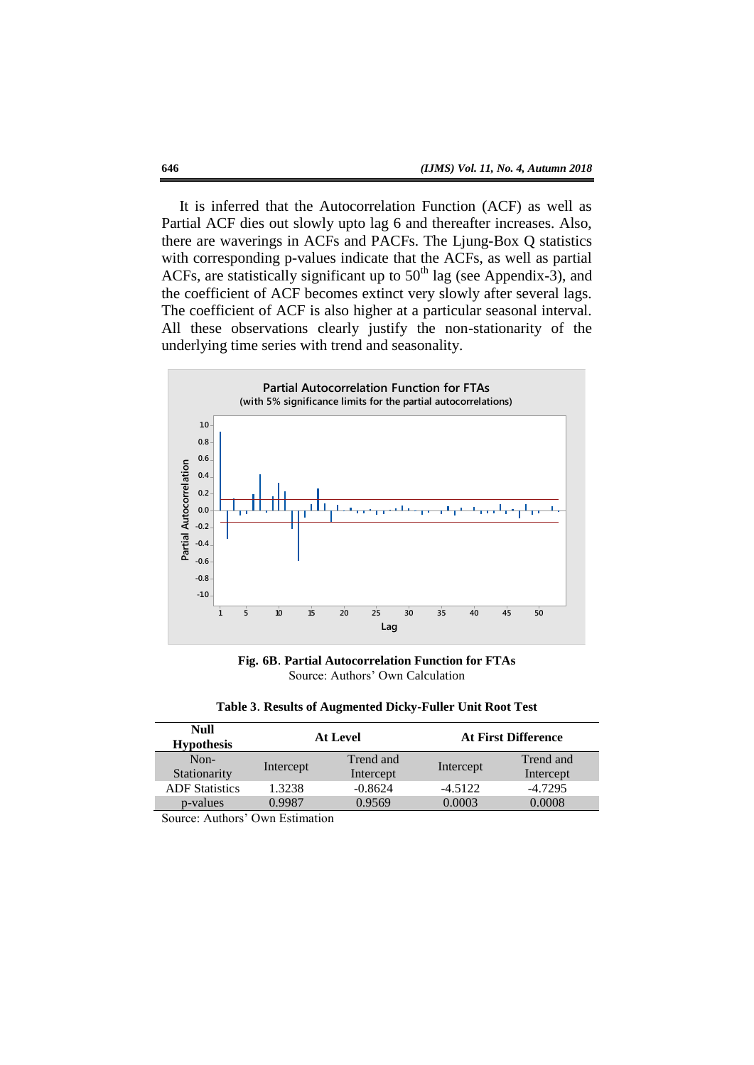It is inferred that the Autocorrelation Function (ACF) as well as Partial ACF dies out slowly upto lag 6 and thereafter increases. Also, there are waverings in ACFs and PACFs. The Ljung-Box Q statistics with corresponding p-values indicate that the ACFs, as well as partial ACFs, are statistically significant up to  $50<sup>th</sup>$  lag (see Appendix-3), and the coefficient of ACF becomes extinct very slowly after several lags. The coefficient of ACF is also higher at a particular seasonal interval. All these observations clearly justify the non-stationarity of the underlying time series with trend and seasonality.



**Fig. 6B**. **Partial Autocorrelation Function for FTAs** Source: Authors' Own Calculation

| Table 3. Results of Augmented Dicky-Fuller Unit Root Test |  |  |  |  |  |  |  |  |
|-----------------------------------------------------------|--|--|--|--|--|--|--|--|
|-----------------------------------------------------------|--|--|--|--|--|--|--|--|

| <b>Null</b><br><b>Hypothesis</b> |           | <b>At Level</b> | <b>At First Difference</b> |           |
|----------------------------------|-----------|-----------------|----------------------------|-----------|
| $Non-$                           |           | Trend and       |                            | Trend and |
| Stationarity                     | Intercept | Intercept       | Intercept                  | Intercept |
| <b>ADF</b> Statistics            | 1.3238    | $-0.8624$       | $-4.5122$                  | $-4.7295$ |
| p-values                         | 0.9987    | 0.9569          | 0.0003                     | 0.0008    |

Source: Authors' Own Estimation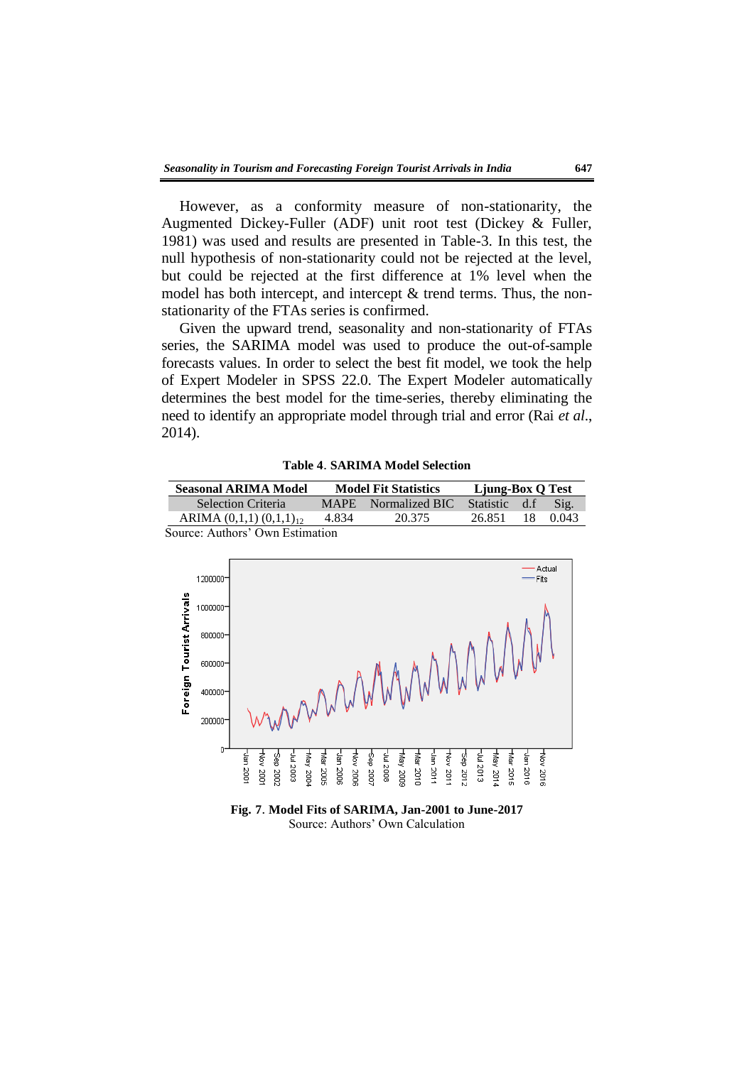However, as a conformity measure of non-stationarity, the Augmented Dickey-Fuller (ADF) unit root test (Dickey & Fuller, 1981) was used and results are presented in Table-3. In this test, the null hypothesis of non-stationarity could not be rejected at the level, but could be rejected at the first difference at 1% level when the model has both intercept, and intercept & trend terms. Thus, the nonstationarity of the FTAs series is confirmed.

Given the upward trend, seasonality and non-stationarity of FTAs series, the SARIMA model was used to produce the out-of-sample forecasts values. In order to select the best fit model, we took the help of Expert Modeler in SPSS 22.0. The Expert Modeler automatically determines the best model for the time-series, thereby eliminating the need to identify an appropriate model through trial and error (Rai *et al*., 2014).

**Table 4**. **SARIMA Model Selection**

| <b>Seasonal ARIMA Model</b>     | <b>Model Fit Statistics</b> |                     | Ljung-Box Q Test |     |       |
|---------------------------------|-----------------------------|---------------------|------------------|-----|-------|
| <b>Selection Criteria</b>       |                             | MAPE Normalized BIC | <b>Statistic</b> | d.f | Sig.  |
| ARIMA $(0,1,1)$ $(0,1,1)_{12}$  | 4.834                       | 20.375              | 26.851           | 18  | 0.043 |
| Source: Authors' Own Estimation |                             |                     |                  |     |       |



**Fig. 7**. **Model Fits of SARIMA, Jan-2001 to June-2017** Source: Authors' Own Calculation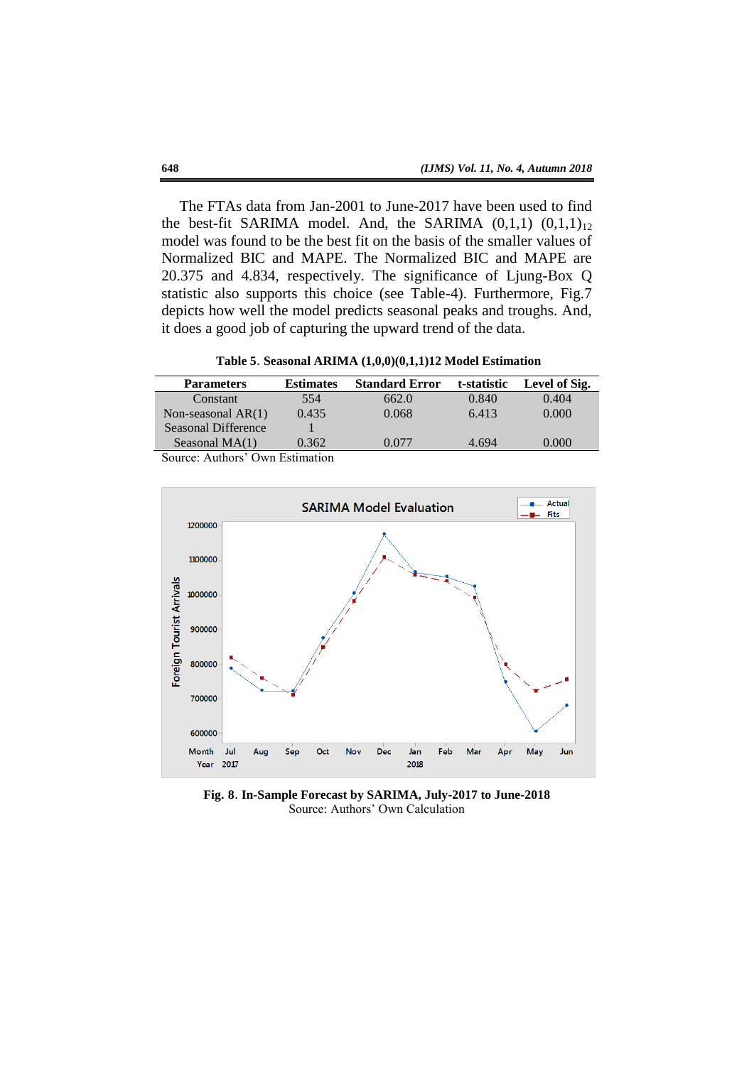The FTAs data from Jan-2001 to June-2017 have been used to find the best-fit SARIMA model. And, the SARIMA  $(0,1,1)$   $(0,1,1)_{12}$ model was found to be the best fit on the basis of the smaller values of Normalized BIC and MAPE. The Normalized BIC and MAPE are 20.375 and 4.834, respectively. The significance of Ljung-Box Q statistic also supports this choice (see Table-4). Furthermore, Fig.7 depicts how well the model predicts seasonal peaks and troughs. And, it does a good job of capturing the upward trend of the data.

**Table 5**. **Seasonal ARIMA (1,0,0)(0,1,1)12 Model Estimation**

| <b>Parameters</b>            | <b>Estimates</b> | <b>Standard Error</b> | t-statistic | Level of Sig. |
|------------------------------|------------------|-----------------------|-------------|---------------|
| Constant                     | 554              | 662.0                 | 0.840       | 0.404         |
| Non-seasonal $AR(1)$         | 0.435            | 0.068                 | 6.413       | 0.000         |
| Seasonal Difference          |                  |                       |             |               |
| Seasonal $MA(1)$             | 0.362            | 0.077                 | 4.694       | 0.000         |
| Samon Author: One Estimation |                  |                       |             |               |

Source: Authors' Own Estimation



**Fig. 8**. **In-Sample Forecast by SARIMA, July-2017 to June-2018** Source: Authors' Own Calculation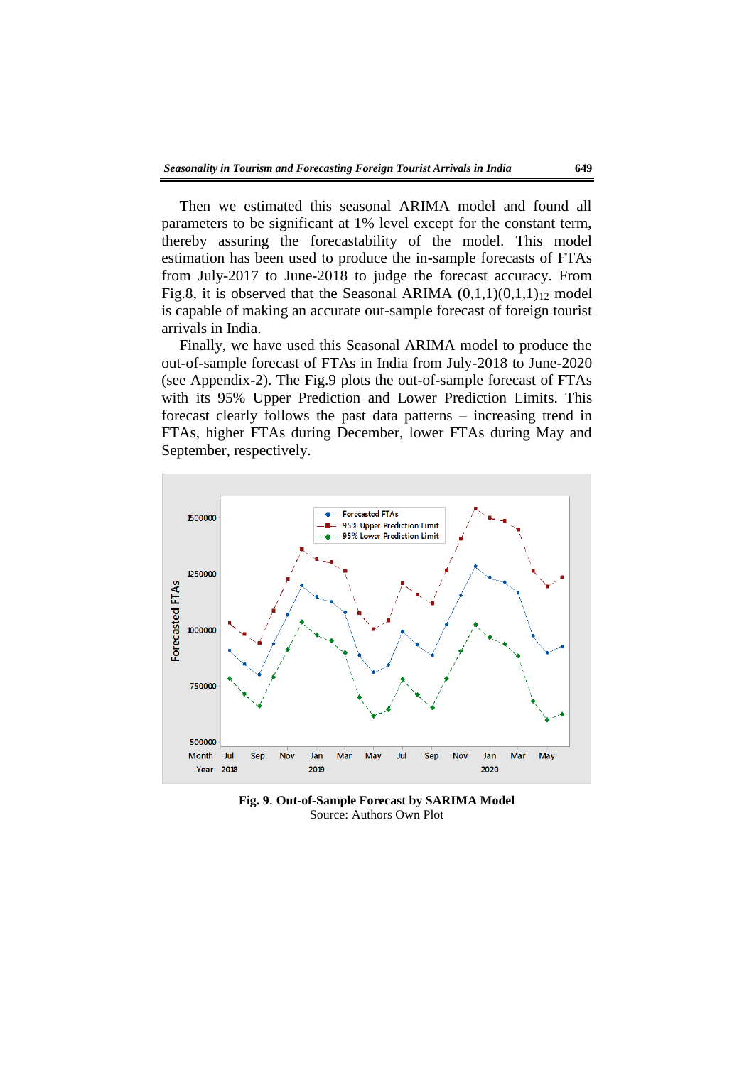Then we estimated this seasonal ARIMA model and found all parameters to be significant at 1% level except for the constant term, thereby assuring the forecastability of the model. This model estimation has been used to produce the in-sample forecasts of FTAs from July-2017 to June-2018 to judge the forecast accuracy. From Fig.8, it is observed that the Seasonal ARIMA  $(0,1,1)(0,1,1)_{12}$  model is capable of making an accurate out-sample forecast of foreign tourist arrivals in India.

Finally, we have used this Seasonal ARIMA model to produce the out-of-sample forecast of FTAs in India from July-2018 to June-2020 (see Appendix-2). The Fig.9 plots the out-of-sample forecast of FTAs with its 95% Upper Prediction and Lower Prediction Limits. This forecast clearly follows the past data patterns – increasing trend in FTAs, higher FTAs during December, lower FTAs during May and September, respectively.



**Fig. 9**. **Out-of-Sample Forecast by SARIMA Model** Source: Authors Own Plot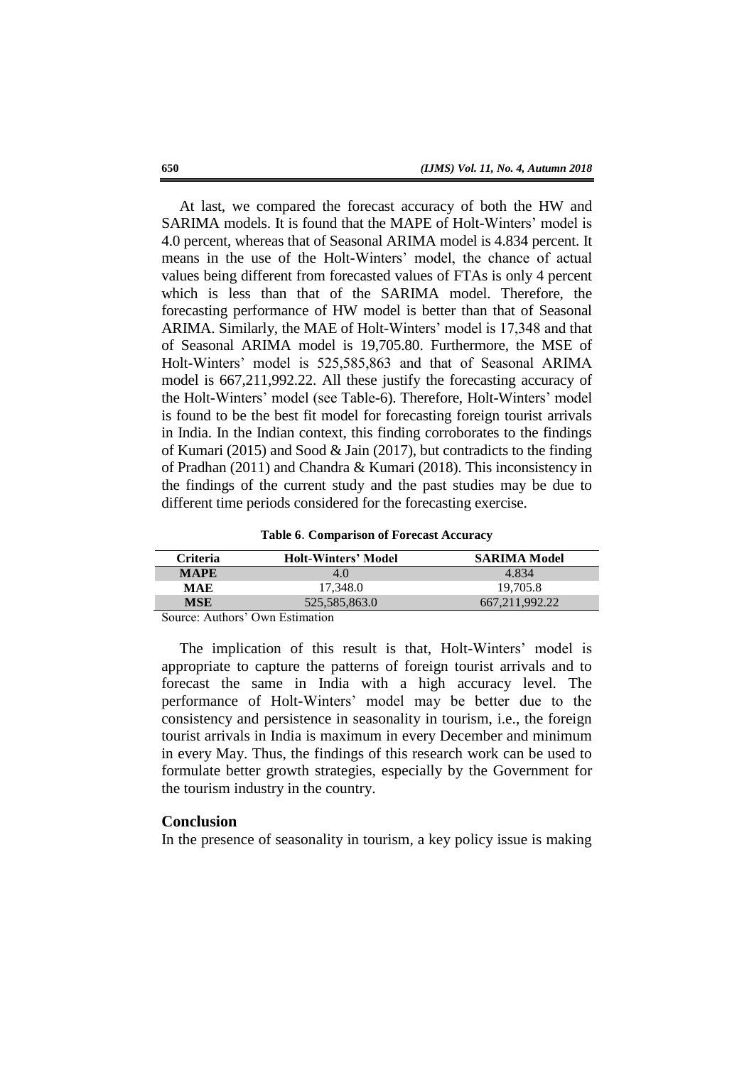At last, we compared the forecast accuracy of both the HW and SARIMA models. It is found that the MAPE of Holt-Winters' model is 4.0 percent, whereas that of Seasonal ARIMA model is 4.834 percent. It means in the use of the Holt-Winters' model, the chance of actual values being different from forecasted values of FTAs is only 4 percent which is less than that of the SARIMA model. Therefore, the forecasting performance of HW model is better than that of Seasonal ARIMA. Similarly, the MAE of Holt-Winters' model is 17,348 and that of Seasonal ARIMA model is 19,705.80. Furthermore, the MSE of Holt-Winters' model is 525,585,863 and that of Seasonal ARIMA model is 667,211,992.22. All these justify the forecasting accuracy of the Holt-Winters' model (see Table-6). Therefore, Holt-Winters' model is found to be the best fit model for forecasting foreign tourist arrivals in India. In the Indian context, this finding corroborates to the findings of Kumari (2015) and Sood & Jain (2017), but contradicts to the finding of Pradhan (2011) and Chandra & Kumari (2018). This inconsistency in the findings of the current study and the past studies may be due to different time periods considered for the forecasting exercise.

|  | Table 6. Comparison of Forecast Accuracy |  |  |
|--|------------------------------------------|--|--|
|--|------------------------------------------|--|--|

| <b>Criteria</b>                 | <b>Holt-Winters' Model</b> | <b>SARIMA Model</b> |
|---------------------------------|----------------------------|---------------------|
| <b>MAPE</b>                     | 4.0                        | 4.834               |
| MAE                             | 17.348.0                   | 19.705.8            |
| MSE                             | 525,585,863.0              | 667.211.992.22      |
| Source: Authors' Own Estimation |                            |                     |

Source: Authors' Own Estimation

The implication of this result is that, Holt-Winters' model is appropriate to capture the patterns of foreign tourist arrivals and to forecast the same in India with a high accuracy level. The performance of Holt-Winters' model may be better due to the consistency and persistence in seasonality in tourism, i.e., the foreign tourist arrivals in India is maximum in every December and minimum in every May. Thus, the findings of this research work can be used to formulate better growth strategies, especially by the Government for the tourism industry in the country.

## **Conclusion**

In the presence of seasonality in tourism, a key policy issue is making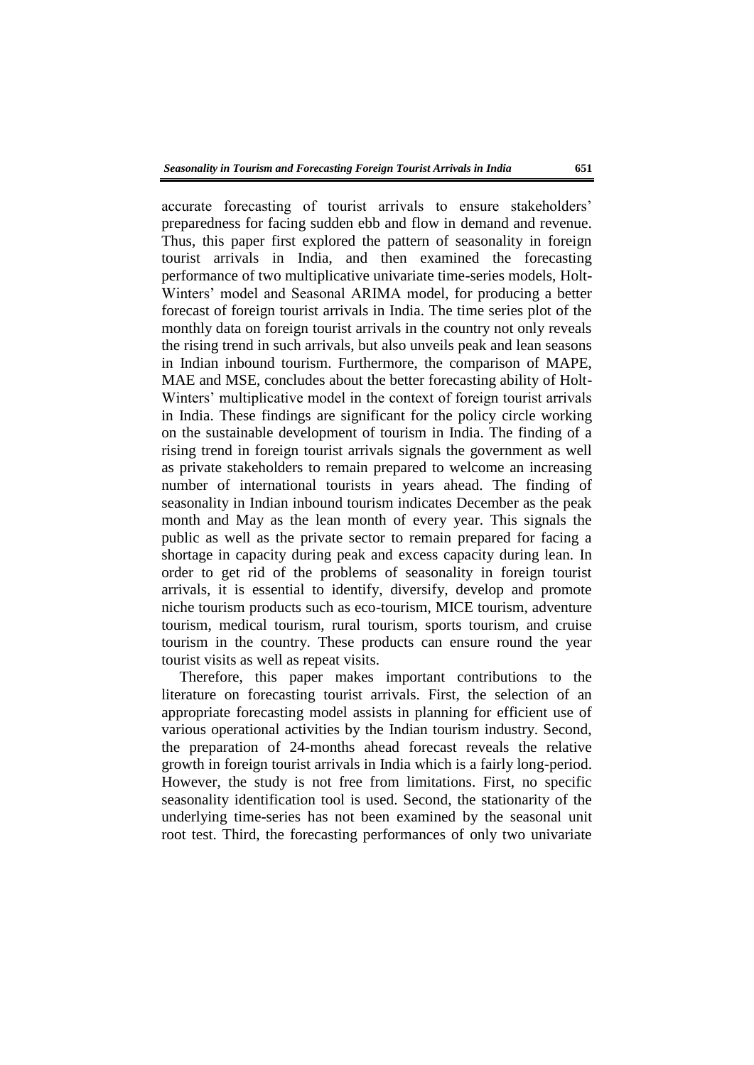accurate forecasting of tourist arrivals to ensure stakeholders' preparedness for facing sudden ebb and flow in demand and revenue. Thus, this paper first explored the pattern of seasonality in foreign tourist arrivals in India, and then examined the forecasting performance of two multiplicative univariate time-series models, Holt-Winters' model and Seasonal ARIMA model, for producing a better forecast of foreign tourist arrivals in India. The time series plot of the monthly data on foreign tourist arrivals in the country not only reveals the rising trend in such arrivals, but also unveils peak and lean seasons in Indian inbound tourism. Furthermore, the comparison of MAPE, MAE and MSE, concludes about the better forecasting ability of Holt-Winters' multiplicative model in the context of foreign tourist arrivals in India. These findings are significant for the policy circle working on the sustainable development of tourism in India. The finding of a rising trend in foreign tourist arrivals signals the government as well as private stakeholders to remain prepared to welcome an increasing number of international tourists in years ahead. The finding of seasonality in Indian inbound tourism indicates December as the peak month and May as the lean month of every year. This signals the public as well as the private sector to remain prepared for facing a shortage in capacity during peak and excess capacity during lean. In order to get rid of the problems of seasonality in foreign tourist arrivals, it is essential to identify, diversify, develop and promote niche tourism products such as eco-tourism, MICE tourism, adventure tourism, medical tourism, rural tourism, sports tourism, and cruise tourism in the country. These products can ensure round the year tourist visits as well as repeat visits.

Therefore, this paper makes important contributions to the literature on forecasting tourist arrivals. First, the selection of an appropriate forecasting model assists in planning for efficient use of various operational activities by the Indian tourism industry. Second, the preparation of 24-months ahead forecast reveals the relative growth in foreign tourist arrivals in India which is a fairly long-period. However, the study is not free from limitations. First, no specific seasonality identification tool is used. Second, the stationarity of the underlying time-series has not been examined by the seasonal unit root test. Third, the forecasting performances of only two univariate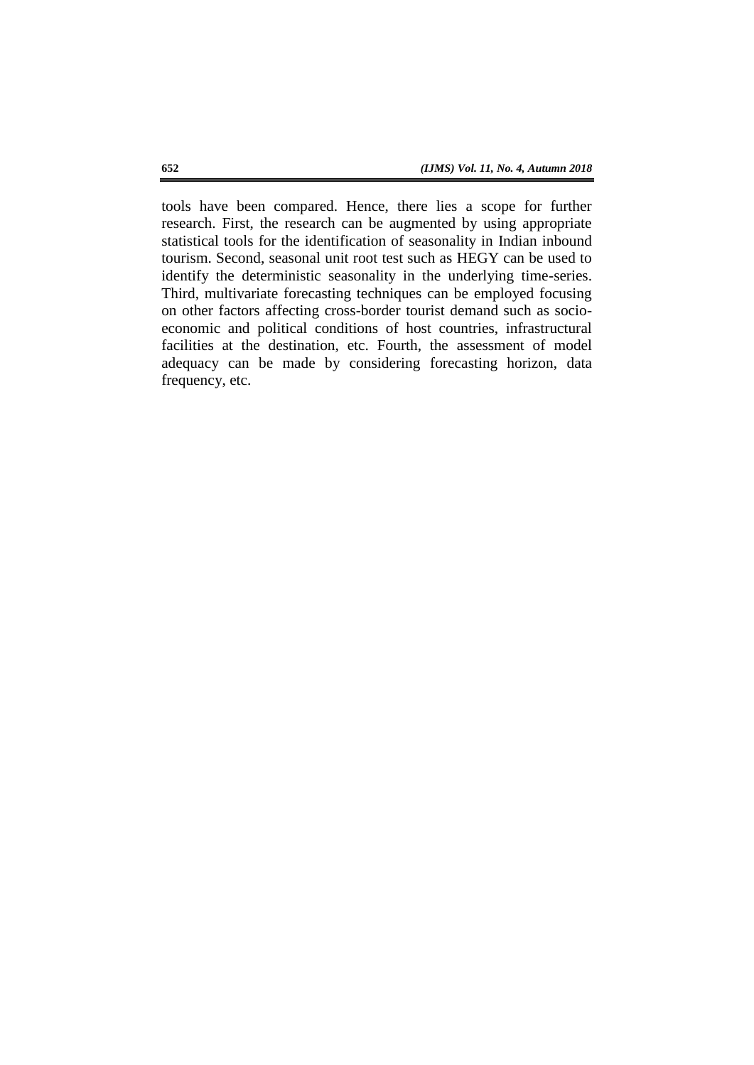tools have been compared. Hence, there lies a scope for further research. First, the research can be augmented by using appropriate statistical tools for the identification of seasonality in Indian inbound tourism. Second, seasonal unit root test such as HEGY can be used to identify the deterministic seasonality in the underlying time-series. Third, multivariate forecasting techniques can be employed focusing on other factors affecting cross-border tourist demand such as socioeconomic and political conditions of host countries, infrastructural facilities at the destination, etc. Fourth, the assessment of model adequacy can be made by considering forecasting horizon, data frequency, etc.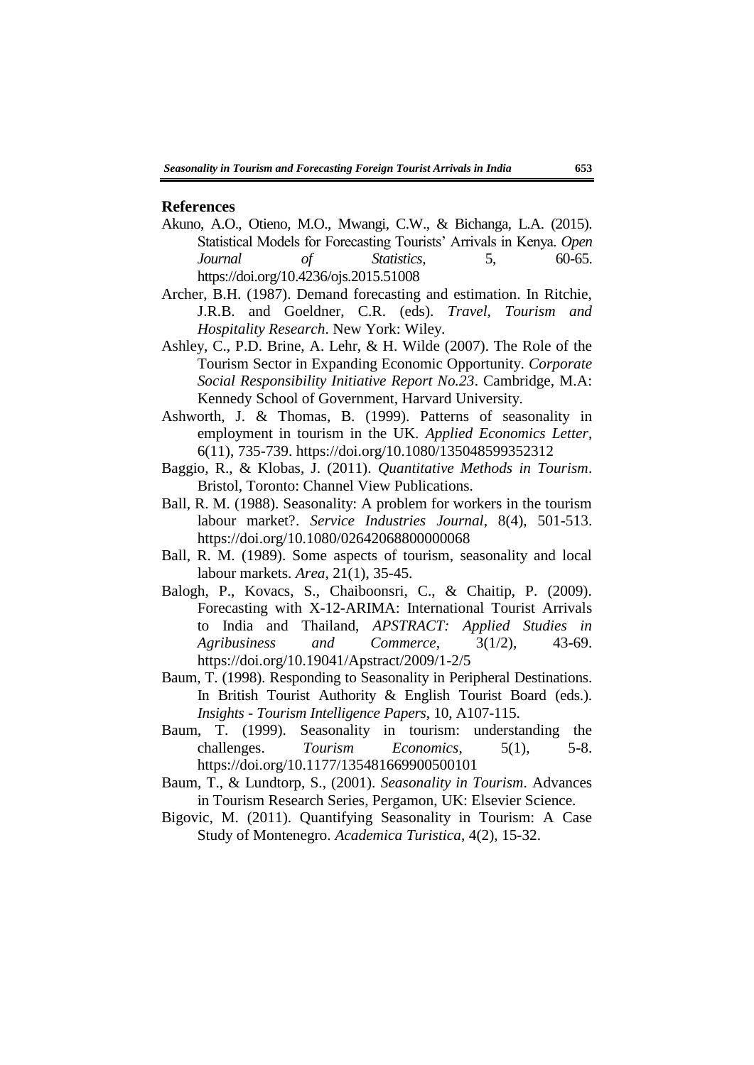### **References**

- Akuno, A.O., Otieno, M.O., Mwangi, C.W., & Bichanga, L.A. (2015). Statistical Models for Forecasting Tourists' Arrivals in Kenya. *Open Journal of Statistics*, 5, 60-65. https://doi.org/10.4236/ojs.2015.51008
- Archer, B.H. (1987). Demand forecasting and estimation. In Ritchie, J.R.B. and Goeldner, C.R. (eds). *Travel, Tourism and Hospitality Research*. New York: Wiley.
- Ashley, C., P.D. Brine, A. Lehr, & H. Wilde (2007). The Role of the Tourism Sector in Expanding Economic Opportunity. *Corporate Social Responsibility Initiative Report No.23*. Cambridge, M.A: Kennedy School of Government, Harvard University.
- Ashworth, J. & Thomas, B. (1999). Patterns of seasonality in employment in tourism in the UK. *Applied Economics Letter*, 6(11), 735-739. https://doi.org/10.1080/135048599352312
- Baggio, R., & Klobas, J. (2011). *Quantitative Methods in Tourism*. Bristol, Toronto: Channel View Publications.
- Ball, R. M. (1988). Seasonality: A problem for workers in the tourism labour market?. *Service Industries Journal*, 8(4), 501-513. https://doi.org/10.1080/02642068800000068
- Ball, R. M. (1989). Some aspects of tourism, seasonality and local labour markets. *Area*, 21(1), 35-45.
- Balogh, P., Kovacs, S., Chaiboonsri, C., & Chaitip, P. (2009). Forecasting with X-12-ARIMA: International Tourist Arrivals to India and Thailand, *APSTRACT: Applied Studies in Agribusiness and Commerce*, 3(1/2), 43-69. https://doi.org/10.19041/Apstract/2009/1-2/5
- Baum, T. (1998). Responding to Seasonality in Peripheral Destinations. In British Tourist Authority & English Tourist Board (eds.). *Insights - Tourism Intelligence Papers*, 10, A107-115.
- Baum, T. (1999). Seasonality in tourism: understanding the challenges. *Tourism Economics*, 5(1), 5-8. https://doi.org/10.1177/135481669900500101
- Baum, T., & Lundtorp, S., (2001). *Seasonality in Tourism*. Advances in Tourism Research Series, Pergamon, UK: Elsevier Science.
- Bigovic, M. (2011). Quantifying Seasonality in Tourism: A Case Study of Montenegro. *Academica Turistica*, 4(2), 15-32.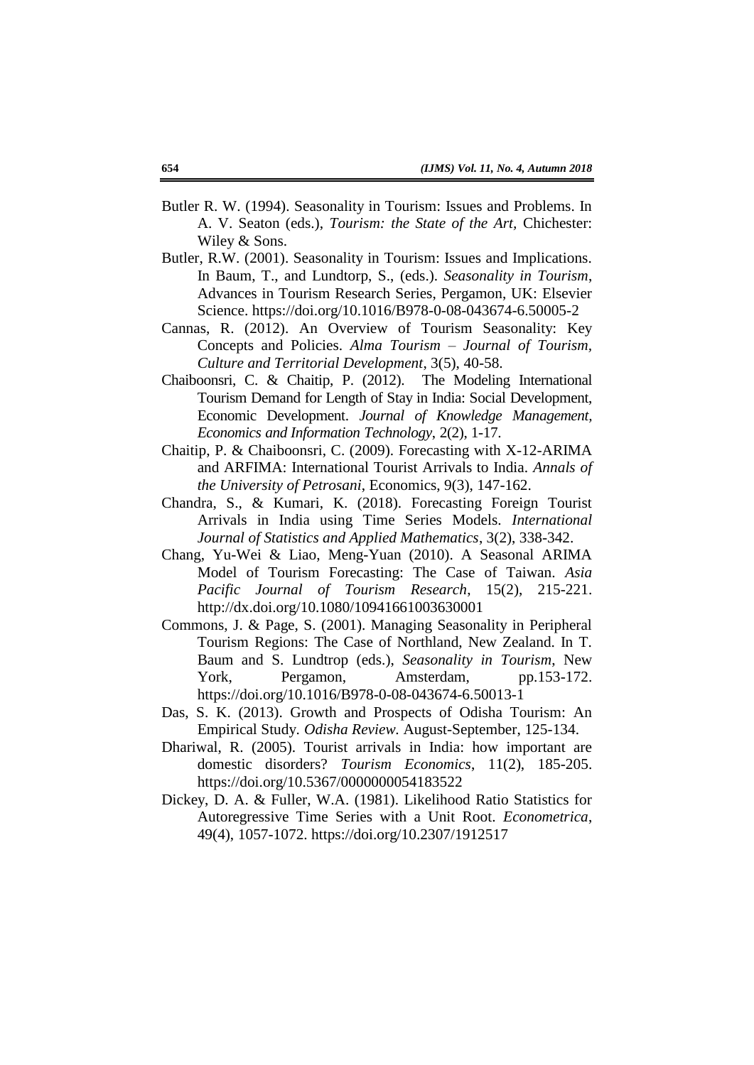- Butler R. W. (1994). Seasonality in Tourism: Issues and Problems. In A. V. Seaton (eds.), *Tourism: the State of the Art,* Chichester: Wiley & Sons.
- Butler, R.W. (2001). Seasonality in Tourism: Issues and Implications. In Baum, T., and Lundtorp, S., (eds.). *Seasonality in Tourism*, Advances in Tourism Research Series, Pergamon, UK: Elsevier Science. https://doi.org/10.1016/B978-0-08-043674-6.50005-2
- Cannas, R. (2012). An Overview of Tourism Seasonality: Key Concepts and Policies. *Alma Tourism – Journal of Tourism, Culture and Territorial Development*, 3(5), 40-58.
- Chaiboonsri, C. & Chaitip, P. (2012). The Modeling International Tourism Demand for Length of Stay in India: Social Development, Economic Development. *Journal of Knowledge Management, Economics and Information Technology*, 2(2), 1-17.
- Chaitip, P. & Chaiboonsri, C. (2009). Forecasting with X-12-ARIMA and ARFIMA: International Tourist Arrivals to India. *Annals of the University of Petrosani*, Economics, 9(3), 147-162.
- Chandra, S., & Kumari, K. (2018). Forecasting Foreign Tourist Arrivals in India using Time Series Models. *International Journal of Statistics and Applied Mathematics*, 3(2), 338-342.
- Chang, Yu-Wei & Liao, Meng-Yuan (2010). A Seasonal ARIMA Model of Tourism Forecasting: The Case of Taiwan. *Asia Pacific Journal of Tourism Research*, 15(2), 215-221. http://dx.doi.org/10.1080/10941661003630001
- Commons, J. & Page, S. (2001). Managing Seasonality in Peripheral Tourism Regions: The Case of Northland, New Zealand. In T. Baum and S. Lundtrop (eds.), *Seasonality in Tourism*, New York, Pergamon, Amsterdam, pp.153-172. https://doi.org/10.1016/B978-0-08-043674-6.50013-1
- Das, S. K. (2013). Growth and Prospects of Odisha Tourism: An Empirical Study. *Odisha Review.* August-September, 125-134.
- Dhariwal, R. (2005). Tourist arrivals in India: how important are domestic disorders? *Tourism Economics*, 11(2), 185-205. https://doi.org/10.5367/0000000054183522
- Dickey, D. A. & Fuller, W.A. (1981). Likelihood Ratio Statistics for Autoregressive Time Series with a Unit Root. *Econometrica*, 49(4), 1057-1072. https://doi.org/10.2307/1912517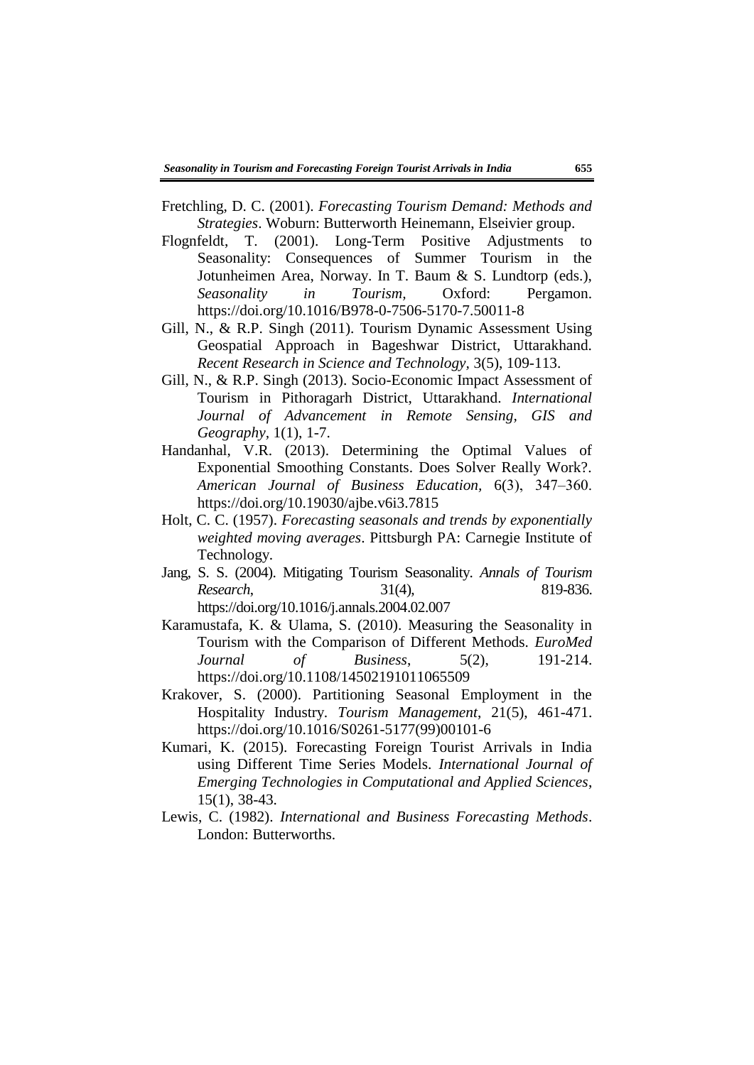- Fretchling, D. C. (2001). *Forecasting Tourism Demand: Methods and Strategies*. Woburn: Butterworth Heinemann, Elseivier group.
- Flognfeldt, T. (2001). Long-Term Positive Adjustments to Seasonality: Consequences of Summer Tourism in the Jotunheimen Area, Norway. In T. Baum & S. Lundtorp (eds.), *Seasonality in Tourism,* Oxford: Pergamon. https://doi.org/10.1016/B978-0-7506-5170-7.50011-8
- Gill, N., & R.P. Singh (2011). Tourism Dynamic Assessment Using Geospatial Approach in Bageshwar District, Uttarakhand. *Recent Research in Science and Technology,* 3(5), 109-113.
- Gill, N., & R.P. Singh (2013). Socio-Economic Impact Assessment of Tourism in Pithoragarh District, Uttarakhand. *International Journal of Advancement in Remote Sensing, GIS and Geography,* 1(1), 1-7.
- Handanhal, V.R. (2013). Determining the Optimal Values of Exponential Smoothing Constants. Does Solver Really Work?. *American Journal of Business Education,* 6(3), 347‒360. https://doi.org/10.19030/ajbe.v6i3.7815
- Holt, C. C. (1957). *Forecasting seasonals and trends by exponentially weighted moving averages*. Pittsburgh PA: Carnegie Institute of Technology.
- Jang, S. S. (2004). Mitigating Tourism Seasonality. *Annals of Tourism Research*, 31(4), 819-836. https://doi.org/10.1016/j.annals.2004.02.007
- Karamustafa, K. & Ulama, S. (2010). Measuring the Seasonality in Tourism with the Comparison of Different Methods. *EuroMed Journal of Business*, 5(2), 191-214. https://doi.org/10.1108/14502191011065509
- Krakover, S. (2000). Partitioning Seasonal Employment in the Hospitality Industry. *Tourism Management*, 21(5), 461-471. https://doi.org/10.1016/S0261-5177(99)00101-6
- Kumari, K. (2015). Forecasting Foreign Tourist Arrivals in India using Different Time Series Models. *International Journal of Emerging Technologies in Computational and Applied Sciences*, 15(1), 38-43.
- Lewis, C. (1982). *International and Business Forecasting Methods*. London: Butterworths.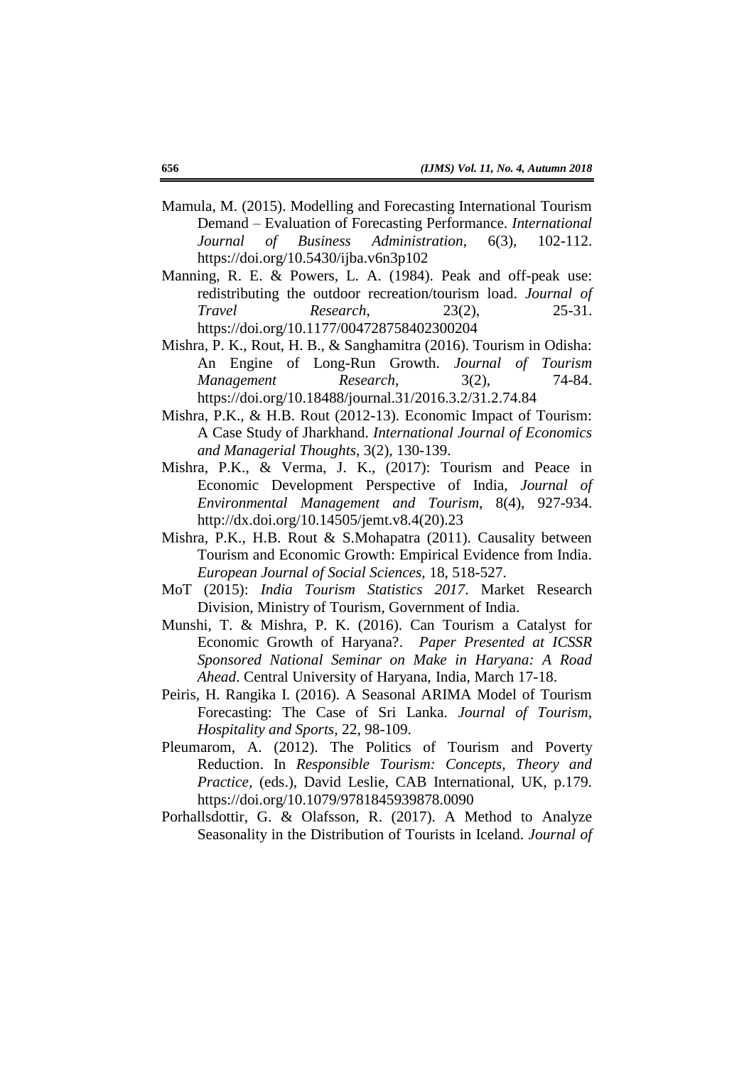- Mamula, M. (2015). Modelling and Forecasting International Tourism Demand – Evaluation of Forecasting Performance. *International Journal of Business Administration*, 6(3), 102-112. https://doi.org/10.5430/ijba.v6n3p102
- Manning, R. E. & Powers, L. A. (1984). Peak and off-peak use: redistributing the outdoor recreation/tourism load. *Journal of Travel Research*, 23(2), 25-31. https://doi.org/10.1177/004728758402300204
- Mishra, P. K., Rout, H. B., & Sanghamitra (2016). Tourism in Odisha: An Engine of Long-Run Growth. *Journal of Tourism Management Research*, 3(2), 74-84. https://doi.org/10.18488/journal.31/2016.3.2/31.2.74.84
- Mishra, P.K., & H.B. Rout (2012-13). Economic Impact of Tourism: A Case Study of Jharkhand. *International Journal of Economics and Managerial Thoughts,* 3(2), 130-139.
- Mishra, P.K., & Verma, J. K., (2017): Tourism and Peace in Economic Development Perspective of India, *Journal of Environmental Management and Tourism*, 8(4), 927-934. http://dx.doi.org/10.14505/jemt.v8.4(20).23
- Mishra, P.K., H.B. Rout & S.Mohapatra (2011). Causality between Tourism and Economic Growth: Empirical Evidence from India. *European Journal of Social Sciences,* 18, 518-527.
- MoT (2015): *India Tourism Statistics 2017*. Market Research Division, Ministry of Tourism, Government of India.
- Munshi, T. & Mishra, P. K. (2016). Can Tourism a Catalyst for Economic Growth of Haryana?. *Paper Presented at ICSSR Sponsored National Seminar on Make in Haryana: A Road Ahead*. Central University of Haryana, India, March 17-18.
- Peiris, H. Rangika I. (2016). A Seasonal ARIMA Model of Tourism Forecasting: The Case of Sri Lanka. *Journal of Tourism, Hospitality and Sports*, 22, 98-109.
- Pleumarom, A. (2012). The Politics of Tourism and Poverty Reduction. In *Responsible Tourism: Concepts, Theory and Practice,* (eds.), David Leslie, CAB International, UK, p.179. https://doi.org/10.1079/9781845939878.0090
- Porhallsdottir, G. & Olafsson, R. (2017). A Method to Analyze Seasonality in the Distribution of Tourists in Iceland. *Journal of*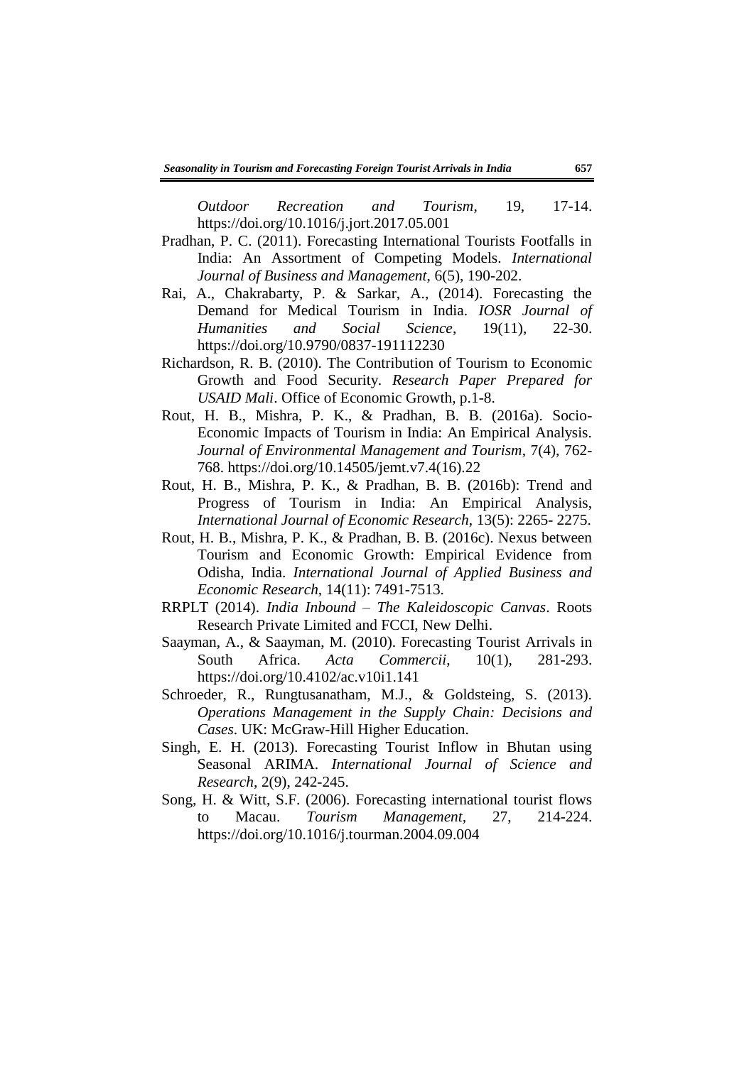*Outdoor Recreation and Tourism*, 19, 17-14. https://doi.org/10.1016/j.jort.2017.05.001

- Pradhan, P. C. (2011). Forecasting International Tourists Footfalls in India: An Assortment of Competing Models. *International Journal of Business and Management*, 6(5), 190-202.
- Rai, A., Chakrabarty, P. & Sarkar, A., (2014). Forecasting the Demand for Medical Tourism in India. *IOSR Journal of Humanities and Social Science*, 19(11), 22-30. https://doi.org/10.9790/0837-191112230
- Richardson, R. B. (2010). The Contribution of Tourism to Economic Growth and Food Security. *Research Paper Prepared for USAID Mali*. Office of Economic Growth, p.1-8.
- Rout, H. B., Mishra, P. K., & Pradhan, B. B. (2016a). Socio-Economic Impacts of Tourism in India: An Empirical Analysis. *Journal of Environmental Management and Tourism*, 7(4), 762- 768. https://doi.org/10.14505/jemt.v7.4(16).22
- Rout, H. B., Mishra, P. K., & Pradhan, B. B. (2016b): Trend and Progress of Tourism in India: An Empirical Analysis, *International Journal of Economic Research*, 13(5): 2265- 2275.
- Rout, H. B., Mishra, P. K., & Pradhan, B. B. (2016c). Nexus between Tourism and Economic Growth: Empirical Evidence from Odisha, India. *International Journal of Applied Business and Economic Research*, 14(11): 7491-7513.
- RRPLT (2014). *India Inbound – The Kaleidoscopic Canvas*. Roots Research Private Limited and FCCI, New Delhi.
- Saayman, A., & Saayman, M. (2010). Forecasting Tourist Arrivals in South Africa. *Acta Commercii*, 10(1), 281-293. https://doi.org/10.4102/ac.v10i1.141
- Schroeder, R., Rungtusanatham, M.J., & Goldsteing, S. (2013). *Operations Management in the Supply Chain: Decisions and Cases*. UK: McGraw-Hill Higher Education.
- Singh, E. H. (2013). Forecasting Tourist Inflow in Bhutan using Seasonal ARIMA. *International Journal of Science and Research*, 2(9), 242-245.
- Song, H. & Witt, S.F. (2006). Forecasting international tourist flows to Macau. *Tourism Management,* 27, 214-224. https://doi.org/10.1016/j.tourman.2004.09.004